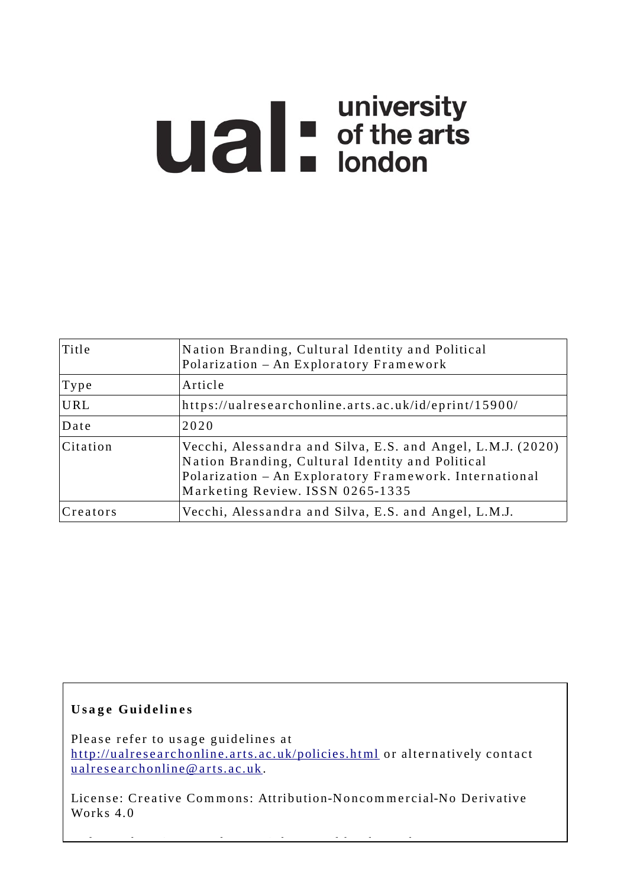# **Ual** distribution of the arts

| Title    | Nation Branding, Cultural Identity and Political<br>Polarization - An Exploratory Framework                                                                                                                   |
|----------|---------------------------------------------------------------------------------------------------------------------------------------------------------------------------------------------------------------|
| Type     | Article                                                                                                                                                                                                       |
| URL      | https://ualresearchonline.arts.ac.uk/id/eprint/15900/                                                                                                                                                         |
| Date     | 2020                                                                                                                                                                                                          |
| Citation | Vecchi, Alessandra and Silva, E.S. and Angel, L.M.J. (2020)<br>Nation Branding, Cultural Identity and Political<br>Polarization - An Exploratory Framework. International<br>Marketing Review. ISSN 0265-1335 |
| Creators | Vecchi, Alessandra and Silva, E.S. and Angel, L.M.J.                                                                                                                                                          |

# **U s a g e Gui d e li n e s**

Please refer to usage guidelines at http://ualresearchonline.arts.ac.uk/policies.html or alternatively contact u alres e archonline@ arts.ac.uk.

License: Creative Commons: Attribution-Noncommercial-No Derivative Works 4.0

 $\mathcal{L}_{\mathcal{A}}$  other wise s the real density of the angle  $\mathcal{L}_{\mathcal{A}}$  and  $\mathcal{L}_{\mathcal{A}}$  and  $\mathcal{L}_{\mathcal{A}}$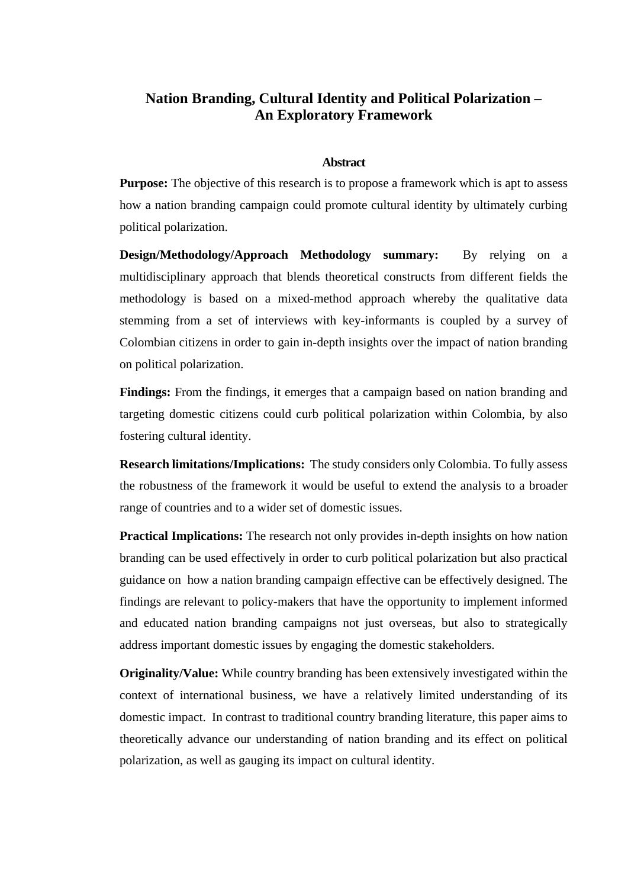# **Nation Branding, Cultural Identity and Political Polarization – An Exploratory Framework**

# **Abstract**

**Purpose:** The objective of this research is to propose a framework which is apt to assess how a nation branding campaign could promote cultural identity by ultimately curbing political polarization.

**Design/Methodology/Approach Methodology summary:** By relying on a multidisciplinary approach that blends theoretical constructs from different fields the methodology is based on a mixed-method approach whereby the qualitative data stemming from a set of interviews with key-informants is coupled by a survey of Colombian citizens in order to gain in-depth insights over the impact of nation branding on political polarization.

**Findings:** From the findings, it emerges that a campaign based on nation branding and targeting domestic citizens could curb political polarization within Colombia, by also fostering cultural identity.

**Research limitations/Implications:** The study considers only Colombia. To fully assess the robustness of the framework it would be useful to extend the analysis to a broader range of countries and to a wider set of domestic issues.

**Practical Implications:** The research not only provides in-depth insights on how nation branding can be used effectively in order to curb political polarization but also practical guidance on how a nation branding campaign effective can be effectively designed. The findings are relevant to policy-makers that have the opportunity to implement informed and educated nation branding campaigns not just overseas, but also to strategically address important domestic issues by engaging the domestic stakeholders.

**Originality/Value:** While country branding has been extensively investigated within the context of international business, we have a relatively limited understanding of its domestic impact.In contrast to traditional country branding literature, this paper aims to theoretically advance our understanding of nation branding and its effect on political polarization, as well as gauging its impact on cultural identity.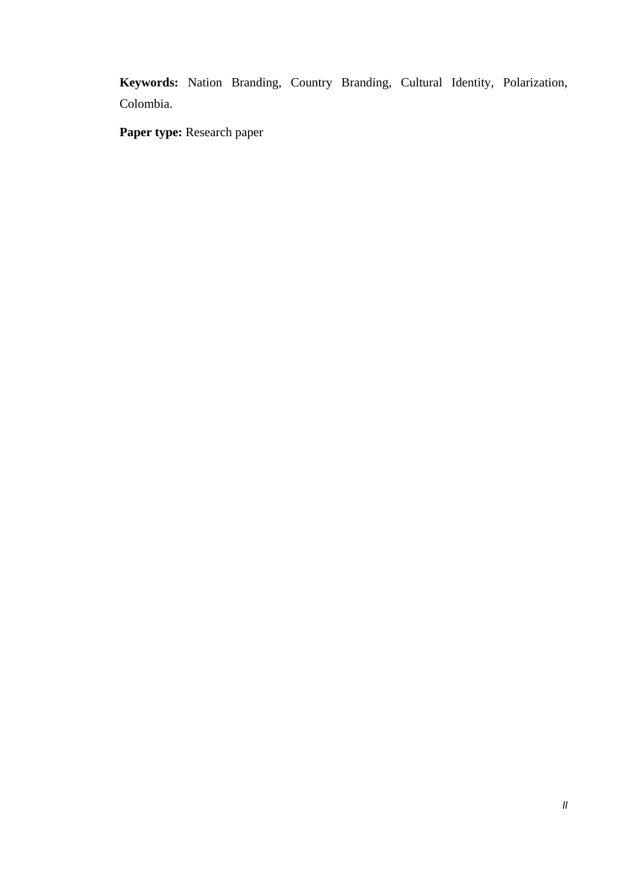**Keywords:** Nation Branding, Country Branding, Cultural Identity, Polarization, Colombia.

**Paper type:** Research paper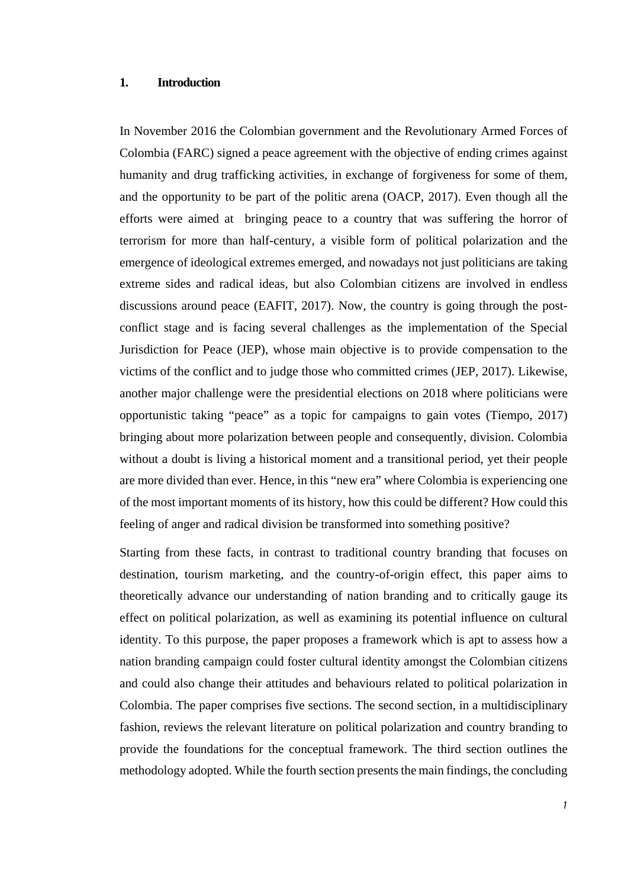#### **1. Introduction**

In November 2016 the Colombian government and the Revolutionary Armed Forces of Colombia (FARC) signed a peace agreement with the objective of ending crimes against humanity and drug trafficking activities, in exchange of forgiveness for some of them, and the opportunity to be part of the politic arena (OACP, 2017). Even though all the efforts were aimed at bringing peace to a country that was suffering the horror of terrorism for more than half-century, a visible form of political polarization and the emergence of ideological extremes emerged, and nowadays not just politicians are taking extreme sides and radical ideas, but also Colombian citizens are involved in endless discussions around peace (EAFIT, 2017). Now, the country is going through the postconflict stage and is facing several challenges as the implementation of the Special Jurisdiction for Peace (JEP), whose main objective is to provide compensation to the victims of the conflict and to judge those who committed crimes (JEP, 2017). Likewise, another major challenge were the presidential elections on 2018 where politicians were opportunistic taking "peace" as a topic for campaigns to gain votes (Tiempo, 2017) bringing about more polarization between people and consequently, division. Colombia without a doubt is living a historical moment and a transitional period, yet their people are more divided than ever. Hence, in this "new era" where Colombia is experiencing one of the most important moments of its history, how this could be different? How could this feeling of anger and radical division be transformed into something positive?

Starting from these facts, in contrast to traditional country branding that focuses on destination, tourism marketing, and the country-of-origin effect, this paper aims to theoretically advance our understanding of nation branding and to critically gauge its effect on political polarization, as well as examining its potential influence on cultural identity. To this purpose, the paper proposes a framework which is apt to assess how a nation branding campaign could foster cultural identity amongst the Colombian citizens and could also change their attitudes and behaviours related to political polarization in Colombia. The paper comprises five sections. The second section, in a multidisciplinary fashion, reviews the relevant literature on political polarization and country branding to provide the foundations for the conceptual framework. The third section outlines the methodology adopted. While the fourth section presents the main findings, the concluding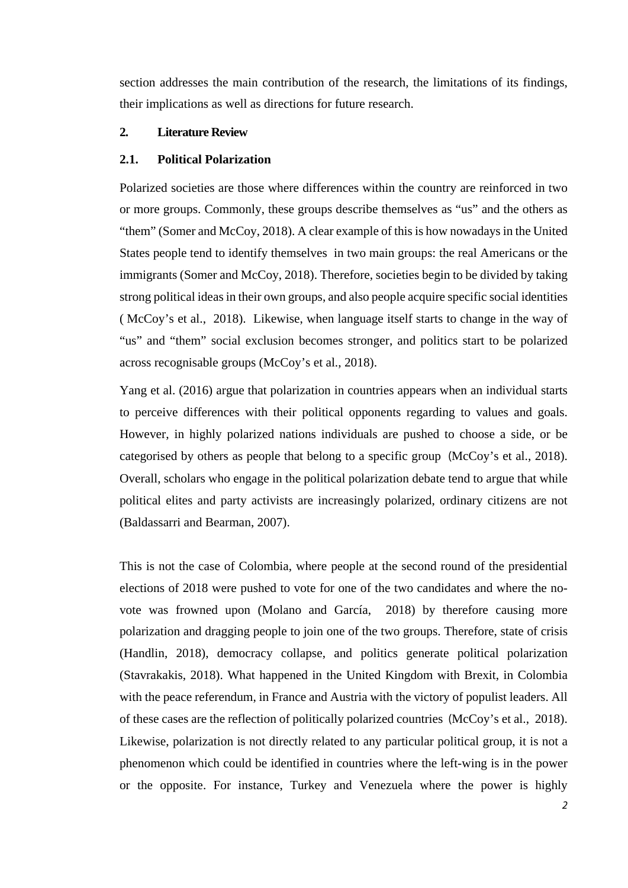section addresses the main contribution of the research, the limitations of its findings, their implications as well as directions for future research.

# **2. Literature Review**

# **2.1. Political Polarization**

Polarized societies are those where differences within the country are reinforced in two or more groups. Commonly, these groups describe themselves as "us" and the others as "them" (Somer and McCoy, 2018). A clear example of thisis how nowadays in the United States people tend to identify themselves in two main groups: the real Americans or the immigrants (Somer and McCoy, 2018). Therefore, societies begin to be divided by taking strong political ideas in their own groups, and also people acquire specific social identities ( McCoy's et al., 2018). Likewise, when language itself starts to change in the way of "us" and "them" social exclusion becomes stronger, and politics start to be polarized across recognisable groups (McCoy's et al., 2018).

Yang et al. (2016) argue that polarization in countries appears when an individual starts to perceive differences with their political opponents regarding to values and goals. However, in highly polarized nations individuals are pushed to choose a side, or be categorised by others as people that belong to a specific group (McCoy's et al., 2018). Overall, scholars who engage in the political polarization debate tend to argue that while political elites and party activists are increasingly polarized, ordinary citizens are not (Baldassarri and Bearman, 2007).

This is not the case of Colombia, where people at the second round of the presidential elections of 2018 were pushed to vote for one of the two candidates and where the novote was frowned upon (Molano and García, 2018) by therefore causing more polarization and dragging people to join one of the two groups. Therefore, state of crisis (Handlin, 2018), democracy collapse, and politics generate political polarization (Stavrakakis, 2018). What happened in the United Kingdom with Brexit, in Colombia with the peace referendum, in France and Austria with the victory of populist leaders. All of these cases are the reflection of politically polarized countries (McCoy's et al., 2018). Likewise, polarization is not directly related to any particular political group, it is not a phenomenon which could be identified in countries where the left-wing is in the power or the opposite. For instance, Turkey and Venezuela where the power is highly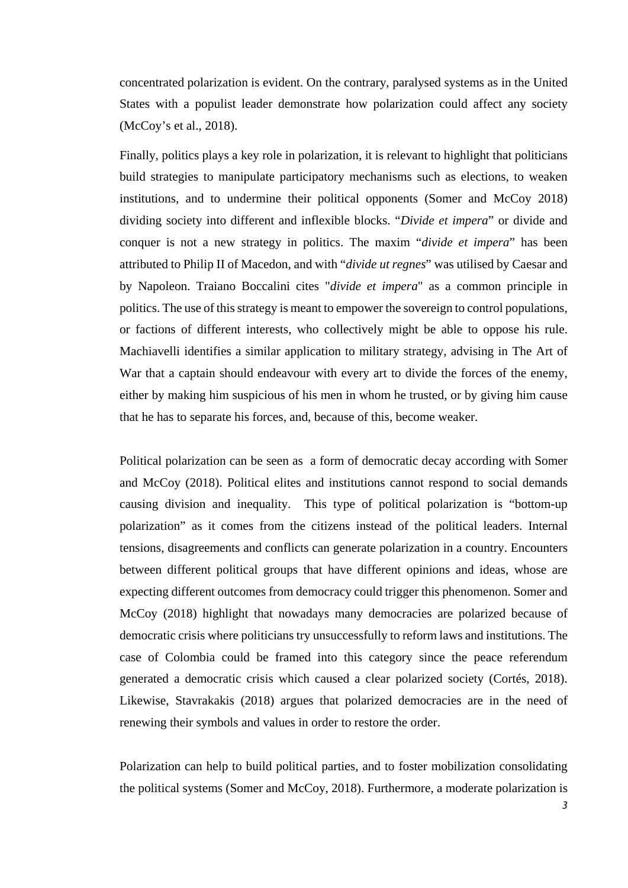concentrated polarization is evident. On the contrary, paralysed systems as in the United States with a populist leader demonstrate how polarization could affect any society (McCoy's et al., 2018).

Finally, politics plays a key role in polarization, it is relevant to highlight that politicians build strategies to manipulate participatory mechanisms such as elections, to weaken institutions, and to undermine their political opponents (Somer and McCoy 2018) dividing society into different and inflexible blocks. "*Divide et impera*" or divide and conquer is not a new strategy in politics. The maxim "*divide et impera*" has been attributed to Philip II of Macedon, and with "*divide ut regnes*" was utilised by Caesar and by Napoleon. Traiano Boccalini cites "*divide et impera*" as a common principle in politics. The use of this strategy is meant to empower the sovereign to control populations, or factions of different interests, who collectively might be able to oppose his rule. Machiavelli identifies a similar application to military strategy, advising in The Art of War that a captain should endeavour with every art to divide the forces of the enemy, either by making him suspicious of his men in whom he trusted, or by giving him cause that he has to separate his forces, and, because of this, become weaker.

Political polarization can be seen as a form of democratic decay according with Somer and McCoy (2018). Political elites and institutions cannot respond to social demands causing division and inequality. This type of political polarization is "bottom-up polarization" as it comes from the citizens instead of the political leaders. Internal tensions, disagreements and conflicts can generate polarization in a country. Encounters between different political groups that have different opinions and ideas, whose are expecting different outcomes from democracy could trigger this phenomenon. Somer and McCoy (2018) highlight that nowadays many democracies are polarized because of democratic crisis where politicians try unsuccessfully to reform laws and institutions. The case of Colombia could be framed into this category since the peace referendum generated a democratic crisis which caused a clear polarized society (Cortés, 2018). Likewise, Stavrakakis (2018) argues that polarized democracies are in the need of renewing their symbols and values in order to restore the order.

Polarization can help to build political parties, and to foster mobilization consolidating the political systems (Somer and McCoy, 2018). Furthermore, a moderate polarization is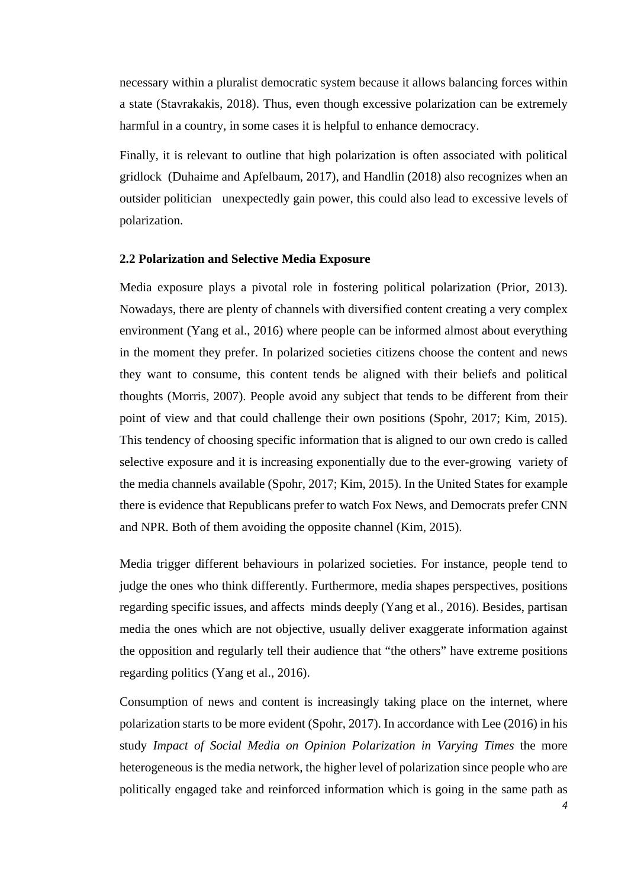necessary within a pluralist democratic system because it allows balancing forces within a state (Stavrakakis, 2018). Thus, even though excessive polarization can be extremely harmful in a country, in some cases it is helpful to enhance democracy.

Finally, it is relevant to outline that high polarization is often associated with political gridlock (Duhaime and Apfelbaum, 2017), and Handlin (2018) also recognizes when an outsider politician unexpectedly gain power, this could also lead to excessive levels of polarization.

# **2.2 Polarization and Selective Media Exposure**

Media exposure plays a pivotal role in fostering political polarization (Prior, 2013). Nowadays, there are plenty of channels with diversified content creating a very complex environment (Yang et al., 2016) where people can be informed almost about everything in the moment they prefer. In polarized societies citizens choose the content and news they want to consume, this content tends be aligned with their beliefs and political thoughts (Morris, 2007). People avoid any subject that tends to be different from their point of view and that could challenge their own positions (Spohr, 2017; Kim, 2015). This tendency of choosing specific information that is aligned to our own credo is called selective exposure and it is increasing exponentially due to the ever-growing variety of the media channels available (Spohr, 2017; Kim, 2015). In the United States for example there is evidence that Republicans prefer to watch Fox News, and Democrats prefer CNN and NPR. Both of them avoiding the opposite channel (Kim, 2015).

Media trigger different behaviours in polarized societies. For instance, people tend to judge the ones who think differently. Furthermore, media shapes perspectives, positions regarding specific issues, and affects minds deeply (Yang et al., 2016). Besides, partisan media the ones which are not objective, usually deliver exaggerate information against the opposition and regularly tell their audience that "the others" have extreme positions regarding politics (Yang et al., 2016).

Consumption of news and content is increasingly taking place on the internet, where polarization starts to be more evident (Spohr, 2017). In accordance with Lee (2016) in his study *Impact of Social Media on Opinion Polarization in Varying Times* the more heterogeneous is the media network, the higher level of polarization since people who are politically engaged take and reinforced information which is going in the same path as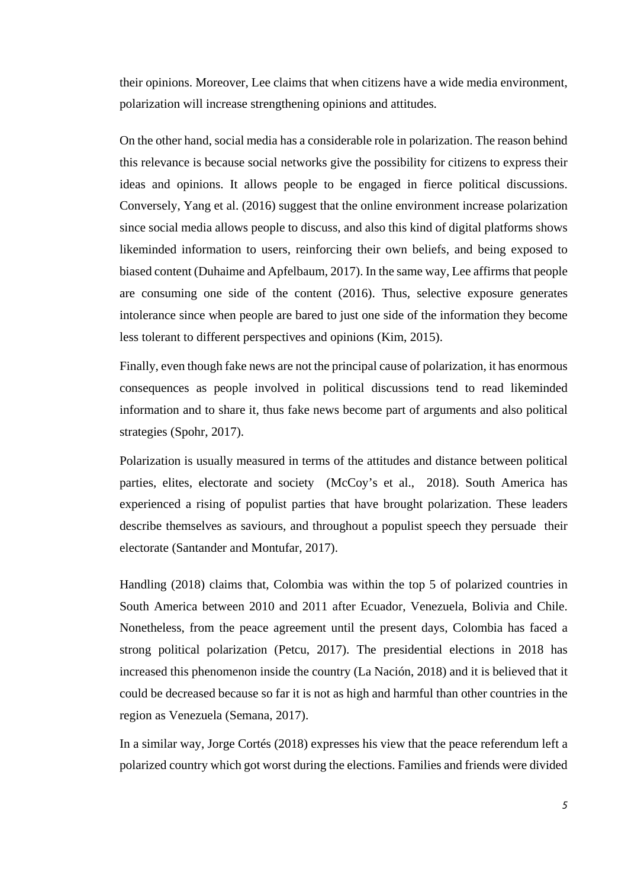their opinions. Moreover, Lee claims that when citizens have a wide media environment, polarization will increase strengthening opinions and attitudes.

On the other hand, social media has a considerable role in polarization. The reason behind this relevance is because social networks give the possibility for citizens to express their ideas and opinions. It allows people to be engaged in fierce political discussions. Conversely, Yang et al. (2016) suggest that the online environment increase polarization since social media allows people to discuss, and also this kind of digital platforms shows likeminded information to users, reinforcing their own beliefs, and being exposed to biased content (Duhaime and Apfelbaum, 2017). In the same way, Lee affirms that people are consuming one side of the content (2016). Thus, selective exposure generates intolerance since when people are bared to just one side of the information they become less tolerant to different perspectives and opinions (Kim, 2015).

Finally, even though fake news are not the principal cause of polarization, it has enormous consequences as people involved in political discussions tend to read likeminded information and to share it, thus fake news become part of arguments and also political strategies (Spohr, 2017).

Polarization is usually measured in terms of the attitudes and distance between political parties, elites, electorate and society (McCoy's et al., 2018). South America has experienced a rising of populist parties that have brought polarization. These leaders describe themselves as saviours, and throughout a populist speech they persuade their electorate (Santander and Montufar, 2017).

Handling (2018) claims that, Colombia was within the top 5 of polarized countries in South America between 2010 and 2011 after Ecuador, Venezuela, Bolivia and Chile. Nonetheless, from the peace agreement until the present days, Colombia has faced a strong political polarization (Petcu, 2017). The presidential elections in 2018 has increased this phenomenon inside the country (La Nación, 2018) and it is believed that it could be decreased because so far it is not as high and harmful than other countries in the region as Venezuela (Semana, 2017).

In a similar way, Jorge Cortés (2018) expresses his view that the peace referendum left a polarized country which got worst during the elections. Families and friends were divided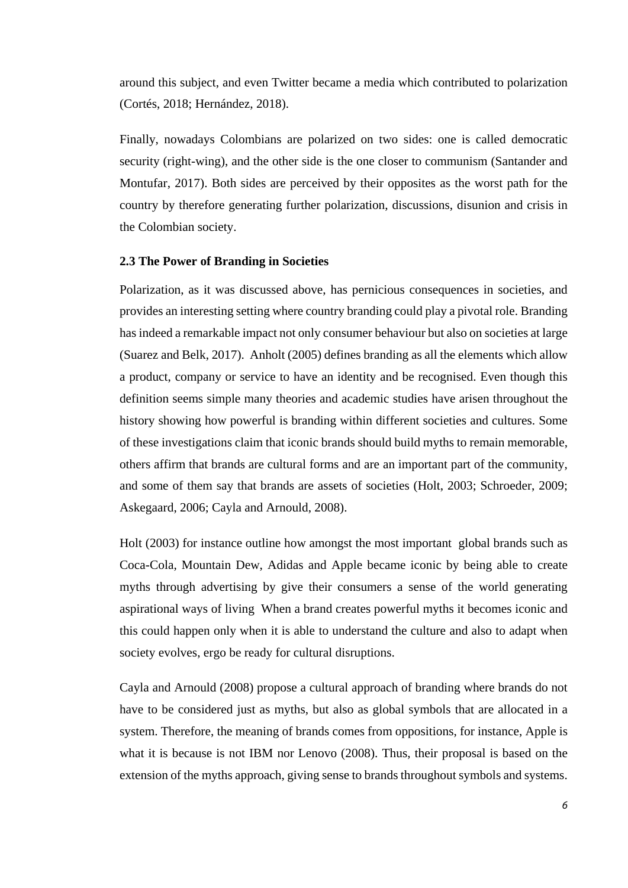around this subject, and even Twitter became a media which contributed to polarization (Cortés, 2018; Hernández, 2018).

Finally, nowadays Colombians are polarized on two sides: one is called democratic security (right-wing), and the other side is the one closer to communism (Santander and Montufar, 2017). Both sides are perceived by their opposites as the worst path for the country by therefore generating further polarization, discussions, disunion and crisis in the Colombian society.

# **2.3 The Power of Branding in Societies**

Polarization, as it was discussed above, has pernicious consequences in societies, and provides an interesting setting where country branding could play a pivotal role. Branding has indeed a remarkable impact not only consumer behaviour but also on societies at large (Suarez and Belk, 2017). Anholt (2005) defines branding as all the elements which allow a product, company or service to have an identity and be recognised. Even though this definition seems simple many theories and academic studies have arisen throughout the history showing how powerful is branding within different societies and cultures. Some of these investigations claim that iconic brands should build myths to remain memorable, others affirm that brands are cultural forms and are an important part of the community, and some of them say that brands are assets of societies (Holt, 2003; Schroeder, 2009; Askegaard, 2006; Cayla and Arnould, 2008).

Holt (2003) for instance outline how amongst the most important global brands such as Coca-Cola, Mountain Dew, Adidas and Apple became iconic by being able to create myths through advertising by give their consumers a sense of the world generating aspirational ways of living When a brand creates powerful myths it becomes iconic and this could happen only when it is able to understand the culture and also to adapt when society evolves, ergo be ready for cultural disruptions.

Cayla and Arnould (2008) propose a cultural approach of branding where brands do not have to be considered just as myths, but also as global symbols that are allocated in a system. Therefore, the meaning of brands comes from oppositions, for instance, Apple is what it is because is not IBM nor Lenovo (2008). Thus, their proposal is based on the extension of the myths approach, giving sense to brands throughout symbols and systems.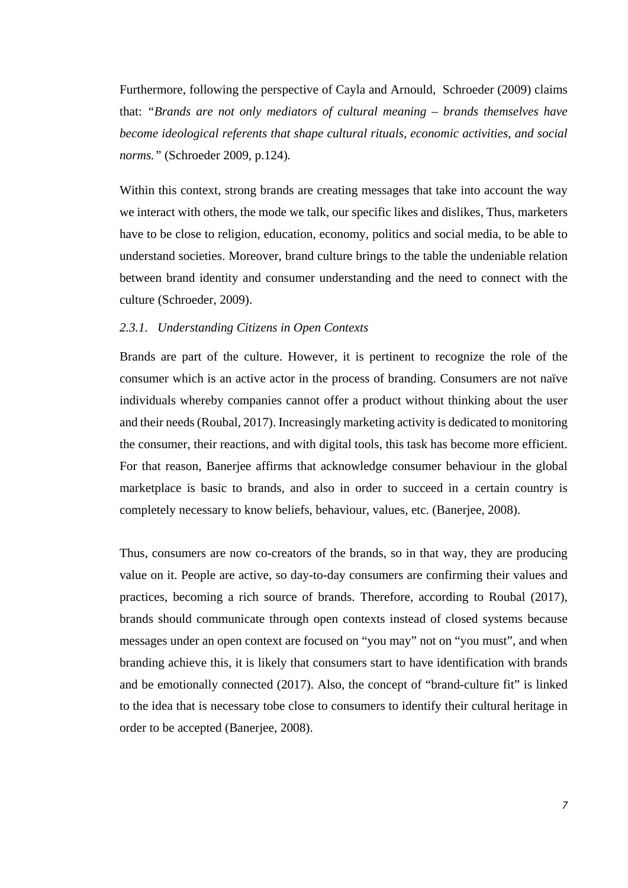Furthermore, following the perspective of Cayla and Arnould, Schroeder (2009) claims that: *"Brands are not only mediators of cultural meaning – brands themselves have become ideological referents that shape cultural rituals, economic activities, and social norms."* (Schroeder 2009, p.124)*.*

Within this context, strong brands are creating messages that take into account the way we interact with others, the mode we talk, our specific likes and dislikes, Thus, marketers have to be close to religion, education, economy, politics and social media, to be able to understand societies. Moreover, brand culture brings to the table the undeniable relation between brand identity and consumer understanding and the need to connect with the culture (Schroeder, 2009).

# *2.3.1. Understanding Citizens in Open Contexts*

Brands are part of the culture. However, it is pertinent to recognize the role of the consumer which is an active actor in the process of branding. Consumers are not naïve individuals whereby companies cannot offer a product without thinking about the user and their needs (Roubal, 2017). Increasingly marketing activity is dedicated to monitoring the consumer, their reactions, and with digital tools, this task has become more efficient. For that reason, Banerjee affirms that acknowledge consumer behaviour in the global marketplace is basic to brands, and also in order to succeed in a certain country is completely necessary to know beliefs, behaviour, values, etc. (Banerjee, 2008).

Thus, consumers are now co-creators of the brands, so in that way, they are producing value on it. People are active, so day-to-day consumers are confirming their values and practices, becoming a rich source of brands. Therefore, according to Roubal (2017), brands should communicate through open contexts instead of closed systems because messages under an open context are focused on "you may" not on "you must", and when branding achieve this, it is likely that consumers start to have identification with brands and be emotionally connected (2017). Also, the concept of "brand-culture fit" is linked to the idea that is necessary tobe close to consumers to identify their cultural heritage in order to be accepted (Banerjee, 2008).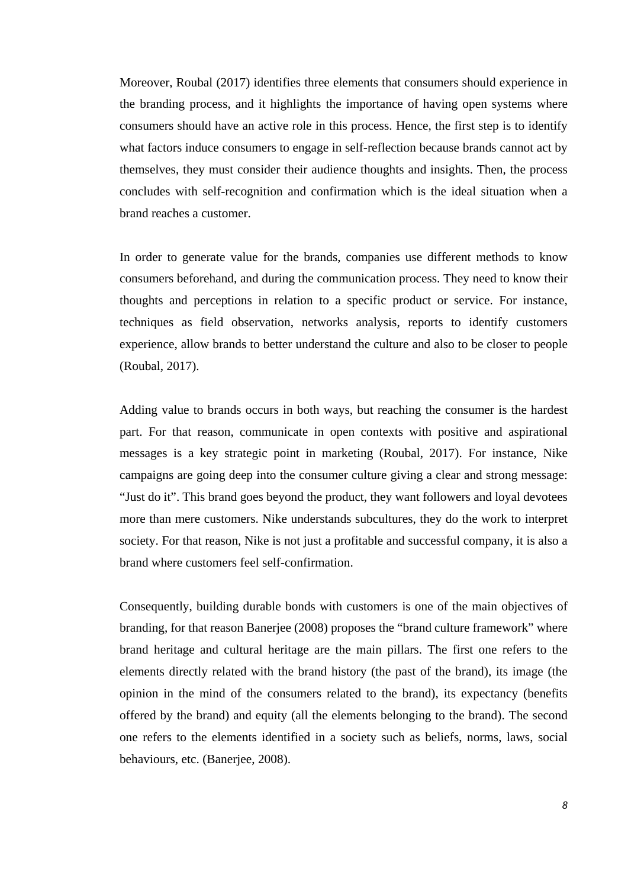Moreover, Roubal (2017) identifies three elements that consumers should experience in the branding process, and it highlights the importance of having open systems where consumers should have an active role in this process. Hence, the first step is to identify what factors induce consumers to engage in self-reflection because brands cannot act by themselves, they must consider their audience thoughts and insights. Then, the process concludes with self-recognition and confirmation which is the ideal situation when a brand reaches a customer.

In order to generate value for the brands, companies use different methods to know consumers beforehand, and during the communication process. They need to know their thoughts and perceptions in relation to a specific product or service. For instance, techniques as field observation, networks analysis, reports to identify customers experience, allow brands to better understand the culture and also to be closer to people (Roubal, 2017).

Adding value to brands occurs in both ways, but reaching the consumer is the hardest part. For that reason, communicate in open contexts with positive and aspirational messages is a key strategic point in marketing (Roubal, 2017). For instance, Nike campaigns are going deep into the consumer culture giving a clear and strong message: "Just do it". This brand goes beyond the product, they want followers and loyal devotees more than mere customers. Nike understands subcultures, they do the work to interpret society. For that reason, Nike is not just a profitable and successful company, it is also a brand where customers feel self-confirmation.

Consequently, building durable bonds with customers is one of the main objectives of branding, for that reason Banerjee (2008) proposes the "brand culture framework" where brand heritage and cultural heritage are the main pillars. The first one refers to the elements directly related with the brand history (the past of the brand), its image (the opinion in the mind of the consumers related to the brand), its expectancy (benefits offered by the brand) and equity (all the elements belonging to the brand). The second one refers to the elements identified in a society such as beliefs, norms, laws, social behaviours, etc. (Banerjee, 2008).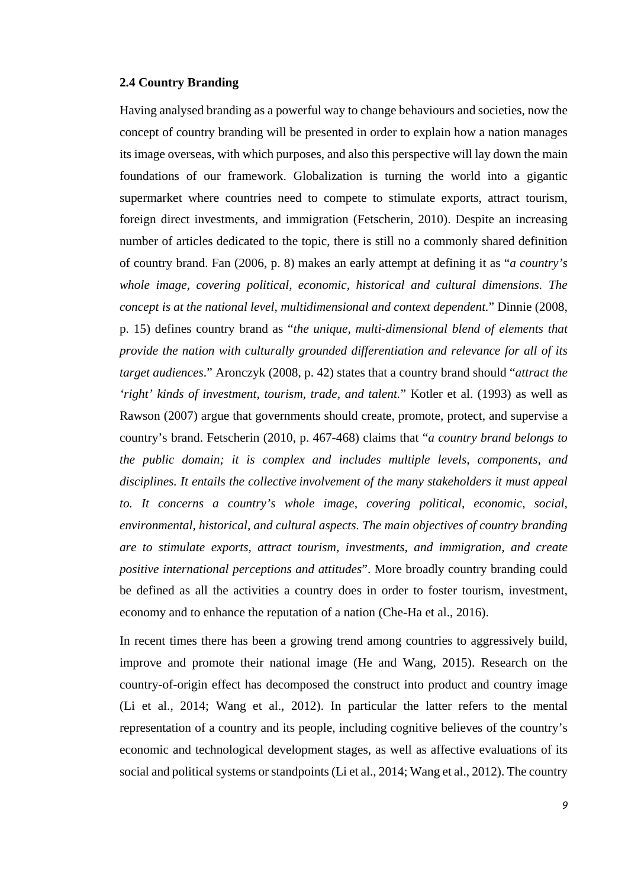# **2.4 Country Branding**

Having analysed branding as a powerful way to change behaviours and societies, now the concept of country branding will be presented in order to explain how a nation manages its image overseas, with which purposes, and also this perspective will lay down the main foundations of our framework. Globalization is turning the world into a gigantic supermarket where countries need to compete to stimulate exports, attract tourism, foreign direct investments, and immigration (Fetscherin, 2010). Despite an increasing number of articles dedicated to the topic, there is still no a commonly shared definition of country brand. Fan (2006, p. 8) makes an early attempt at defining it as "*a country's whole image, covering political, economic, historical and cultural dimensions. The concept is at the national level, multidimensional and context dependent.*" Dinnie (2008, p. 15) defines country brand as "*the unique, multi-dimensional blend of elements that provide the nation with culturally grounded differentiation and relevance for all of its target audiences*." Aronczyk (2008, p. 42) states that a country brand should "*attract the 'right' kinds of investment, tourism, trade, and talent.*" Kotler et al. (1993) as well as Rawson (2007) argue that governments should create, promote, protect, and supervise a country's brand. Fetscherin (2010, p. 467-468) claims that "*a country brand belongs to the public domain; it is complex and includes multiple levels, components, and disciplines. It entails the collective involvement of the many stakeholders it must appeal to. It concerns a country's whole image, covering political, economic, social, environmental, historical, and cultural aspects. The main objectives of country branding are to stimulate exports, attract tourism, investments, and immigration, and create positive international perceptions and attitudes*". More broadly country branding could be defined as all the activities a country does in order to foster tourism, investment, economy and to enhance the reputation of a nation (Che-Ha et al., 2016).

In recent times there has been a growing trend among countries to aggressively build, improve and promote their national image (He and Wang, 2015). Research on the country-of-origin effect has decomposed the construct into product and country image (Li et al., 2014; Wang et al., 2012). In particular the latter refers to the mental representation of a country and its people, including cognitive believes of the country's economic and technological development stages, as well as affective evaluations of its social and political systems or standpoints (Li et al., 2014; Wang et al., 2012). The country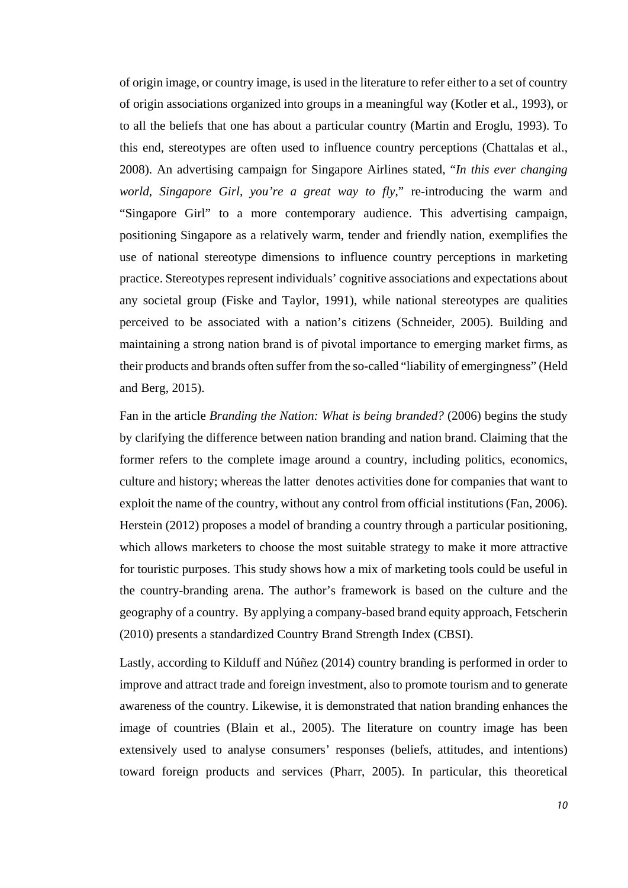of origin image, or country image, is used in the literature to refer either to a set of country of origin associations organized into groups in a meaningful way (Kotler et al., 1993), or to all the beliefs that one has about a particular country (Martin and Eroglu, 1993). To this end, stereotypes are often used to influence country perceptions (Chattalas et al., 2008). An advertising campaign for Singapore Airlines stated, "*In this ever changing world, Singapore Girl, you're a great way to fly*," re-introducing the warm and "Singapore Girl" to a more contemporary audience. This advertising campaign, positioning Singapore as a relatively warm, tender and friendly nation, exemplifies the use of national stereotype dimensions to influence country perceptions in marketing practice. Stereotypes represent individuals' cognitive associations and expectations about any societal group (Fiske and Taylor, 1991), while national stereotypes are qualities perceived to be associated with a nation's citizens (Schneider, 2005). Building and maintaining a strong nation brand is of pivotal importance to emerging market firms, as their products and brands often suffer from the so-called "liability of emergingness" (Held and Berg, 2015).

Fan in the article *Branding the Nation: What is being branded?* (2006) begins the study by clarifying the difference between nation branding and nation brand. Claiming that the former refers to the complete image around a country, including politics, economics, culture and history; whereas the latter denotes activities done for companies that want to exploit the name of the country, without any control from official institutions (Fan, 2006). Herstein (2012) proposes a model of branding a country through a particular positioning, which allows marketers to choose the most suitable strategy to make it more attractive for touristic purposes. This study shows how a mix of marketing tools could be useful in the country-branding arena. The author's framework is based on the culture and the geography of a country. By applying a company-based brand equity approach, Fetscherin (2010) presents a standardized Country Brand Strength Index (CBSI).

Lastly, according to Kilduff and Núñez (2014) country branding is performed in order to improve and attract trade and foreign investment, also to promote tourism and to generate awareness of the country. Likewise, it is demonstrated that nation branding enhances the image of countries (Blain et al., 2005). The literature on country image has been extensively used to analyse consumers' responses (beliefs, attitudes, and intentions) toward foreign products and services (Pharr, 2005). In particular, this theoretical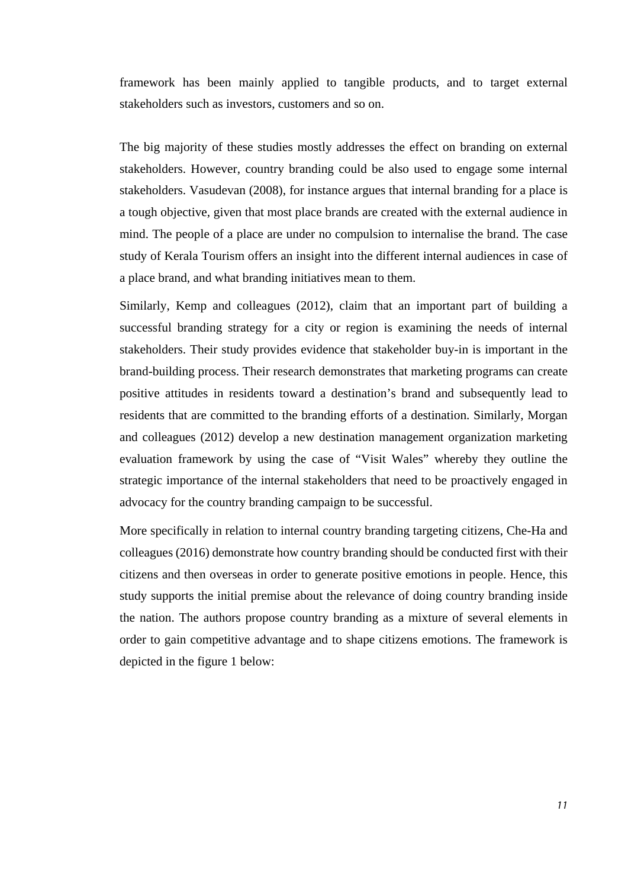framework has been mainly applied to tangible products, and to target external stakeholders such as investors, customers and so on.

The big majority of these studies mostly addresses the effect on branding on external stakeholders. However, country branding could be also used to engage some internal stakeholders. Vasudevan (2008), for instance argues that internal branding for a place is a tough objective, given that most place brands are created with the external audience in mind. The people of a place are under no compulsion to internalise the brand. The case study of Kerala Tourism offers an insight into the different internal audiences in case of a place brand, and what branding initiatives mean to them.

Similarly, Kemp and colleagues (2012), claim that an important part of building a successful branding strategy for a city or region is examining the needs of internal stakeholders. Their study provides evidence that stakeholder buy-in is important in the brand-building process. Their research demonstrates that marketing programs can create positive attitudes in residents toward a destination's brand and subsequently lead to residents that are committed to the branding efforts of a destination. Similarly, Morgan and colleagues (2012) develop a new destination management organization marketing evaluation framework by using the case of "Visit Wales" whereby they outline the strategic importance of the internal stakeholders that need to be proactively engaged in advocacy for the country branding campaign to be successful.

More specifically in relation to internal country branding targeting citizens, Che-Ha and colleagues (2016) demonstrate how country branding should be conducted first with their citizens and then overseas in order to generate positive emotions in people. Hence, this study supports the initial premise about the relevance of doing country branding inside the nation. The authors propose country branding as a mixture of several elements in order to gain competitive advantage and to shape citizens emotions. The framework is depicted in the figure 1 below: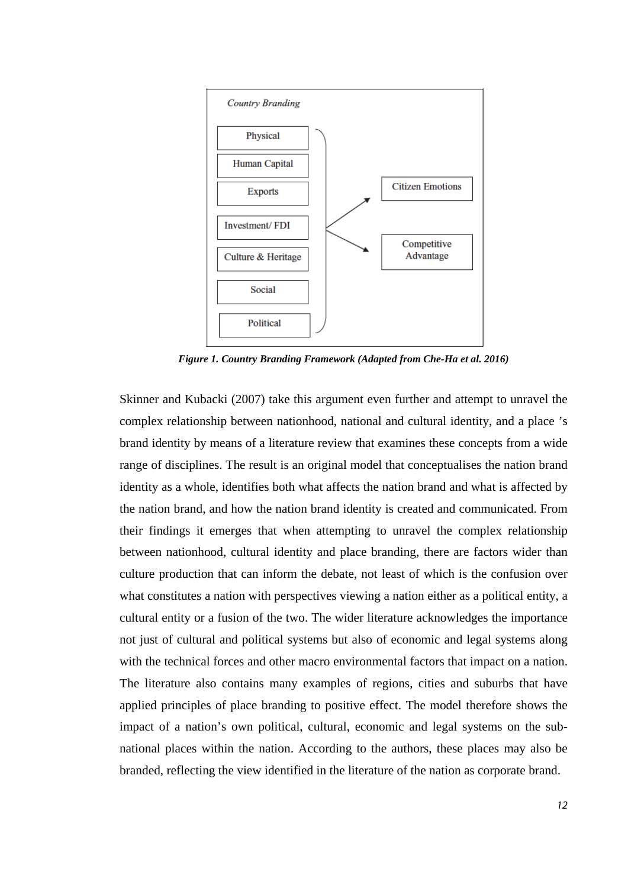

*Figure 1. Country Branding Framework (Adapted from Che-Ha et al. 2016)*

Skinner and Kubacki (2007) take this argument even further and attempt to unravel the complex relationship between nationhood, national and cultural identity, and a place 's brand identity by means of a literature review that examines these concepts from a wide range of disciplines. The result is an original model that conceptualises the nation brand identity as a whole, identifies both what affects the nation brand and what is affected by the nation brand, and how the nation brand identity is created and communicated. From their findings it emerges that when attempting to unravel the complex relationship between nationhood, cultural identity and place branding, there are factors wider than culture production that can inform the debate, not least of which is the confusion over what constitutes a nation with perspectives viewing a nation either as a political entity, a cultural entity or a fusion of the two. The wider literature acknowledges the importance not just of cultural and political systems but also of economic and legal systems along with the technical forces and other macro environmental factors that impact on a nation. The literature also contains many examples of regions, cities and suburbs that have applied principles of place branding to positive effect. The model therefore shows the impact of a nation's own political, cultural, economic and legal systems on the subnational places within the nation. According to the authors, these places may also be branded, reflecting the view identified in the literature of the nation as corporate brand.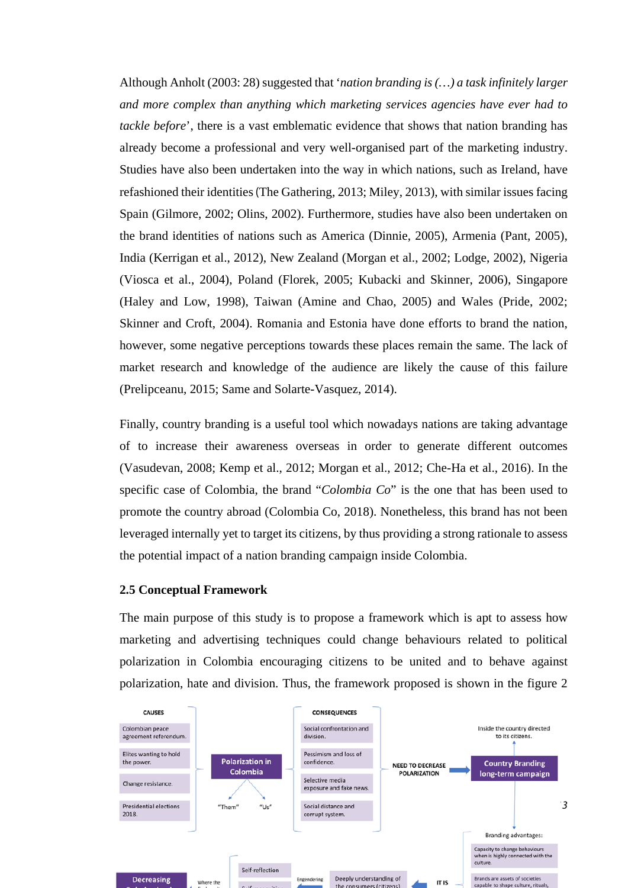Although Anholt (2003: 28) suggested that '*nation branding is (…) a task infinitely larger and more complex than anything which marketing services agencies have ever had to tackle before*', there is a vast emblematic evidence that shows that nation branding has already become a professional and very well-organised part of the marketing industry. Studies have also been undertaken into the way in which nations, such as Ireland, have refashioned their identities(The Gathering, 2013; Miley, 2013), with similar issues facing Spain (Gilmore, 2002; Olins, 2002). Furthermore, studies have also been undertaken on the brand identities of nations such as America (Dinnie, 2005), Armenia (Pant, 2005), India (Kerrigan et al., 2012), New Zealand (Morgan et al., 2002; Lodge, 2002), Nigeria (Viosca et al., 2004), Poland (Florek, 2005; Kubacki and Skinner, 2006), Singapore (Haley and Low, 1998), Taiwan (Amine and Chao, 2005) and Wales (Pride, 2002; Skinner and Croft, 2004). Romania and Estonia have done efforts to brand the nation, however, some negative perceptions towards these places remain the same. The lack of market research and knowledge of the audience are likely the cause of this failure (Prelipceanu, 2015; Same and Solarte-Vasquez, 2014).

Finally, country branding is a useful tool which nowadays nations are taking advantage of to increase their awareness overseas in order to generate different outcomes (Vasudevan, 2008; Kemp et al., 2012; Morgan et al., 2012; Che-Ha et al., 2016). In the specific case of Colombia, the brand "*Colombia Co*" is the one that has been used to promote the country abroad (Colombia Co, 2018). Nonetheless, this brand has not been leveraged internally yet to target its citizens, by thus providing a strong rationale to assess the potential impact of a nation branding campaign inside Colombia.

## **2.5 Conceptual Framework**

The main purpose of this study is to propose a framework which is apt to assess how marketing and advertising techniques could change behaviours related to political polarization in Colombia encouraging citizens to be united and to behave against polarization, hate and division. Thus, the framework proposed is shown in the figure 2

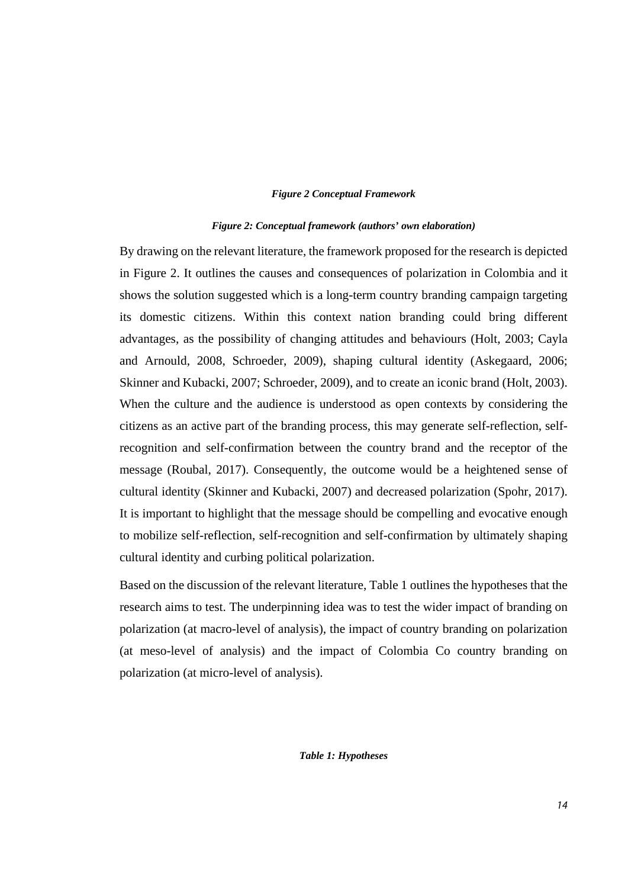#### *Figure 2 Conceptual Framework*

#### *Figure 2: Conceptual framework (authors' own elaboration)*

By drawing on the relevant literature, the framework proposed for the research is depicted in Figure 2. It outlines the causes and consequences of polarization in Colombia and it shows the solution suggested which is a long-term country branding campaign targeting its domestic citizens. Within this context nation branding could bring different advantages, as the possibility of changing attitudes and behaviours (Holt, 2003; Cayla and Arnould, 2008, Schroeder, 2009), shaping cultural identity (Askegaard, 2006; Skinner and Kubacki, 2007; Schroeder, 2009), and to create an iconic brand (Holt, 2003). When the culture and the audience is understood as open contexts by considering the citizens as an active part of the branding process, this may generate self-reflection, selfrecognition and self-confirmation between the country brand and the receptor of the message (Roubal, 2017). Consequently, the outcome would be a heightened sense of cultural identity (Skinner and Kubacki, 2007) and decreased polarization (Spohr, 2017). It is important to highlight that the message should be compelling and evocative enough to mobilize self-reflection, self-recognition and self-confirmation by ultimately shaping cultural identity and curbing political polarization.

Based on the discussion of the relevant literature, Table 1 outlines the hypotheses that the research aims to test. The underpinning idea was to test the wider impact of branding on polarization (at macro-level of analysis), the impact of country branding on polarization (at meso-level of analysis) and the impact of Colombia Co country branding on polarization (at micro-level of analysis).

# *Table 1: Hypotheses*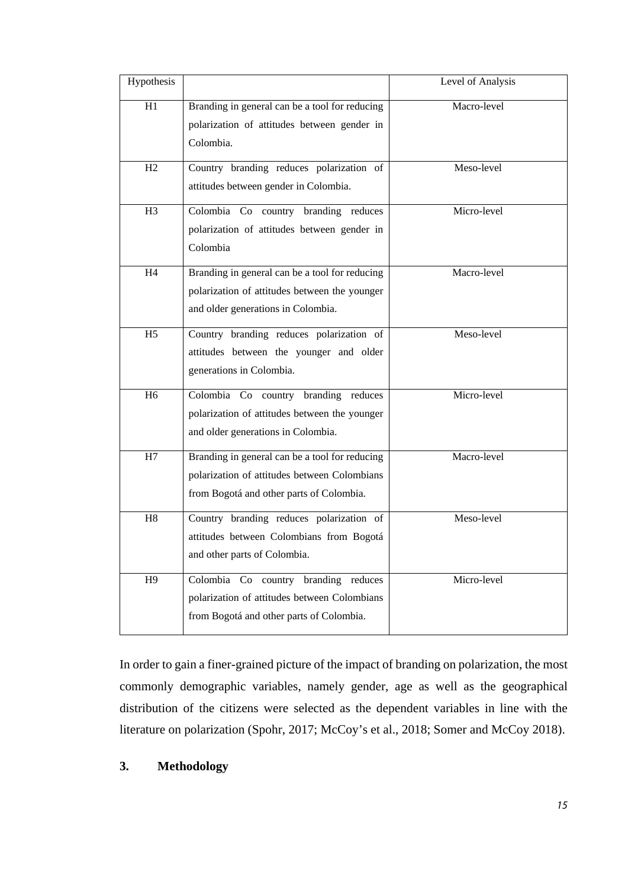| Hypothesis     |                                                                                                                                            | Level of Analysis |
|----------------|--------------------------------------------------------------------------------------------------------------------------------------------|-------------------|
| H1             | Branding in general can be a tool for reducing<br>polarization of attitudes between gender in<br>Colombia.                                 | Macro-level       |
| H2             | Country branding reduces polarization of<br>attitudes between gender in Colombia.                                                          | Meso-level        |
| H <sub>3</sub> | Colombia Co country branding reduces<br>polarization of attitudes between gender in<br>Colombia                                            | Micro-level       |
| H4             | Branding in general can be a tool for reducing<br>polarization of attitudes between the younger<br>and older generations in Colombia.      | Macro-level       |
| H <sub>5</sub> | Country branding reduces polarization of<br>attitudes between the younger and older<br>generations in Colombia.                            | Meso-level        |
| H <sub>6</sub> | Colombia Co country branding reduces<br>polarization of attitudes between the younger<br>and older generations in Colombia.                | Micro-level       |
| H7             | Branding in general can be a tool for reducing<br>polarization of attitudes between Colombians<br>from Bogotá and other parts of Colombia. | Macro-level       |
| H8             | Country branding reduces polarization of<br>attitudes between Colombians from Bogotá<br>and other parts of Colombia.                       | Meso-level        |
| H9             | Colombia Co country branding reduces<br>polarization of attitudes between Colombians<br>from Bogotá and other parts of Colombia.           | Micro-level       |

In order to gain a finer-grained picture of the impact of branding on polarization, the most commonly demographic variables, namely gender, age as well as the geographical distribution of the citizens were selected as the dependent variables in line with the literature on polarization (Spohr, 2017; McCoy's et al., 2018; Somer and McCoy 2018).

# **3. Methodology**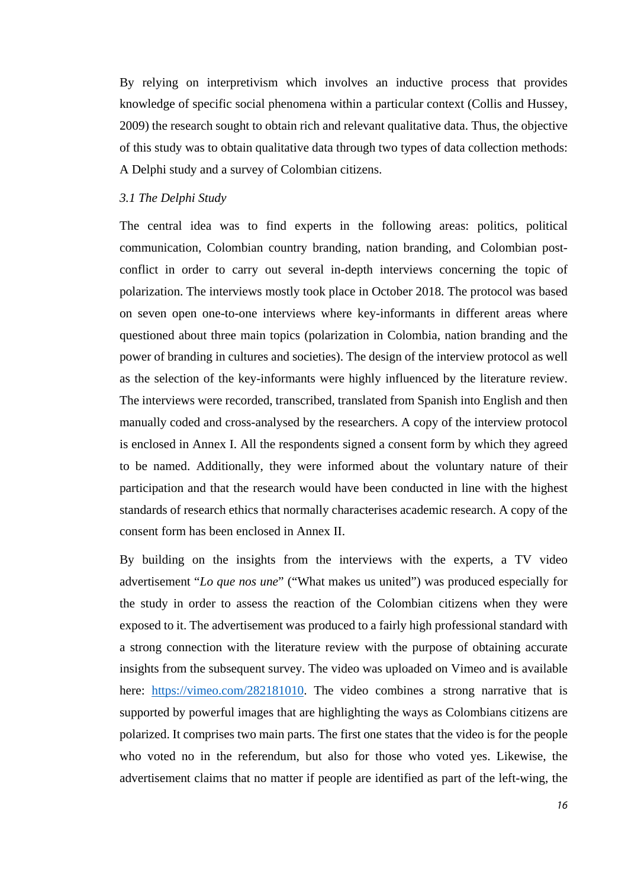By relying on interpretivism which involves an inductive process that provides knowledge of specific social phenomena within a particular context (Collis and Hussey, 2009) the research sought to obtain rich and relevant qualitative data. Thus, the objective of this study was to obtain qualitative data through two types of data collection methods: A Delphi study and a survey of Colombian citizens.

#### *3.1 The Delphi Study*

The central idea was to find experts in the following areas: politics, political communication, Colombian country branding, nation branding, and Colombian postconflict in order to carry out several in-depth interviews concerning the topic of polarization. The interviews mostly took place in October 2018. The protocol was based on seven open one-to-one interviews where key-informants in different areas where questioned about three main topics (polarization in Colombia, nation branding and the power of branding in cultures and societies). The design of the interview protocol as well as the selection of the key-informants were highly influenced by the literature review. The interviews were recorded, transcribed, translated from Spanish into English and then manually coded and cross-analysed by the researchers. A copy of the interview protocol is enclosed in Annex I. All the respondents signed a consent form by which they agreed to be named. Additionally, they were informed about the voluntary nature of their participation and that the research would have been conducted in line with the highest standards of research ethics that normally characterises academic research. A copy of the consent form has been enclosed in Annex II.

By building on the insights from the interviews with the experts, a TV video advertisement "*Lo que nos une*" ("What makes us united") was produced especially for the study in order to assess the reaction of the Colombian citizens when they were exposed to it. The advertisement was produced to a fairly high professional standard with a strong connection with the literature review with the purpose of obtaining accurate insights from the subsequent survey. The video was uploaded on Vimeo and is available here: [https://vimeo.com/282181010.](https://vimeo.com/282181010) The video combines a strong narrative that is supported by powerful images that are highlighting the ways as Colombians citizens are polarized. It comprises two main parts. The first one states that the video is for the people who voted no in the referendum, but also for those who voted yes. Likewise, the advertisement claims that no matter if people are identified as part of the left-wing, the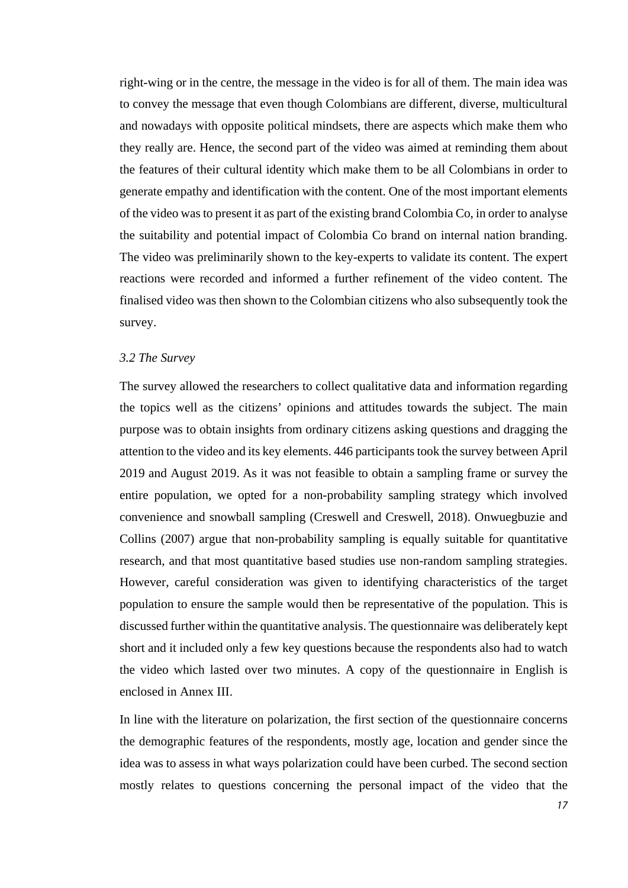right-wing or in the centre, the message in the video is for all of them. The main idea was to convey the message that even though Colombians are different, diverse, multicultural and nowadays with opposite political mindsets, there are aspects which make them who they really are. Hence, the second part of the video was aimed at reminding them about the features of their cultural identity which make them to be all Colombians in order to generate empathy and identification with the content. One of the most important elements of the video was to present it as part of the existing brand Colombia Co, in order to analyse the suitability and potential impact of Colombia Co brand on internal nation branding. The video was preliminarily shown to the key-experts to validate its content. The expert reactions were recorded and informed a further refinement of the video content. The finalised video was then shown to the Colombian citizens who also subsequently took the survey.

#### *3.2 The Survey*

The survey allowed the researchers to collect qualitative data and information regarding the topics well as the citizens' opinions and attitudes towards the subject. The main purpose was to obtain insights from ordinary citizens asking questions and dragging the attention to the video and its key elements. 446 participants took the survey between April 2019 and August 2019. As it was not feasible to obtain a sampling frame or survey the entire population, we opted for a non-probability sampling strategy which involved convenience and snowball sampling (Creswell and Creswell, 2018). Onwuegbuzie and Collins (2007) argue that non-probability sampling is equally suitable for quantitative research, and that most quantitative based studies use non-random sampling strategies. However, careful consideration was given to identifying characteristics of the target population to ensure the sample would then be representative of the population. This is discussed further within the quantitative analysis. The questionnaire was deliberately kept short and it included only a few key questions because the respondents also had to watch the video which lasted over two minutes. A copy of the questionnaire in English is enclosed in Annex III.

In line with the literature on polarization, the first section of the questionnaire concerns the demographic features of the respondents, mostly age, location and gender since the idea was to assess in what ways polarization could have been curbed. The second section mostly relates to questions concerning the personal impact of the video that the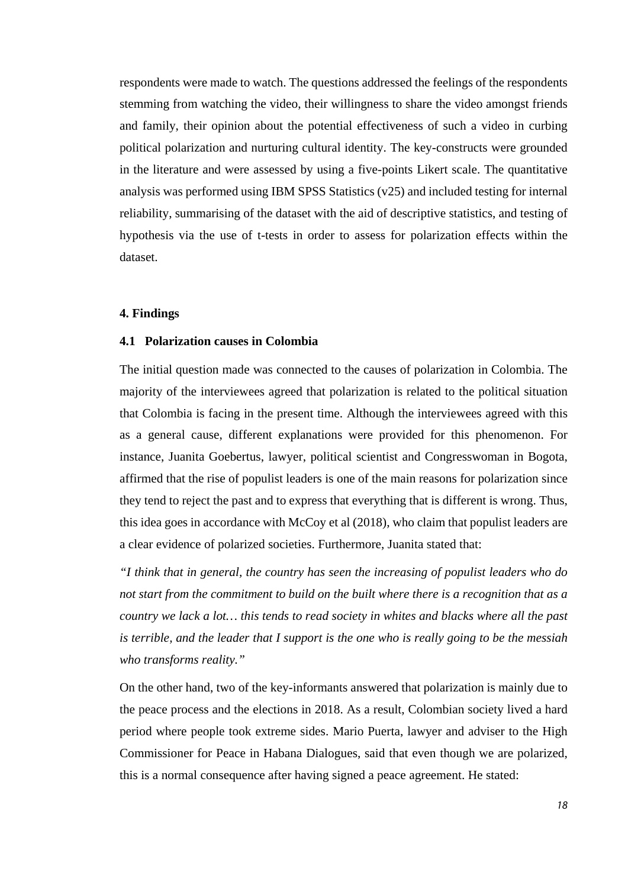respondents were made to watch. The questions addressed the feelings of the respondents stemming from watching the video, their willingness to share the video amongst friends and family, their opinion about the potential effectiveness of such a video in curbing political polarization and nurturing cultural identity. The key-constructs were grounded in the literature and were assessed by using a five-points Likert scale. The quantitative analysis was performed using IBM SPSS Statistics (v25) and included testing for internal reliability, summarising of the dataset with the aid of descriptive statistics, and testing of hypothesis via the use of t-tests in order to assess for polarization effects within the dataset.

# **4. Findings**

# **4.1 Polarization causes in Colombia**

The initial question made was connected to the causes of polarization in Colombia. The majority of the interviewees agreed that polarization is related to the political situation that Colombia is facing in the present time. Although the interviewees agreed with this as a general cause, different explanations were provided for this phenomenon. For instance, Juanita Goebertus, lawyer, political scientist and Congresswoman in Bogota, affirmed that the rise of populist leaders is one of the main reasons for polarization since they tend to reject the past and to express that everything that is different is wrong. Thus, this idea goes in accordance with McCoy et al (2018), who claim that populist leaders are a clear evidence of polarized societies. Furthermore, Juanita stated that:

*"I think that in general, the country has seen the increasing of populist leaders who do not start from the commitment to build on the built where there is a recognition that as a country we lack a lot… this tends to read society in whites and blacks where all the past is terrible, and the leader that I support is the one who is really going to be the messiah who transforms reality."* 

On the other hand, two of the key-informants answered that polarization is mainly due to the peace process and the elections in 2018. As a result, Colombian society lived a hard period where people took extreme sides. Mario Puerta, lawyer and adviser to the High Commissioner for Peace in Habana Dialogues, said that even though we are polarized, this is a normal consequence after having signed a peace agreement. He stated: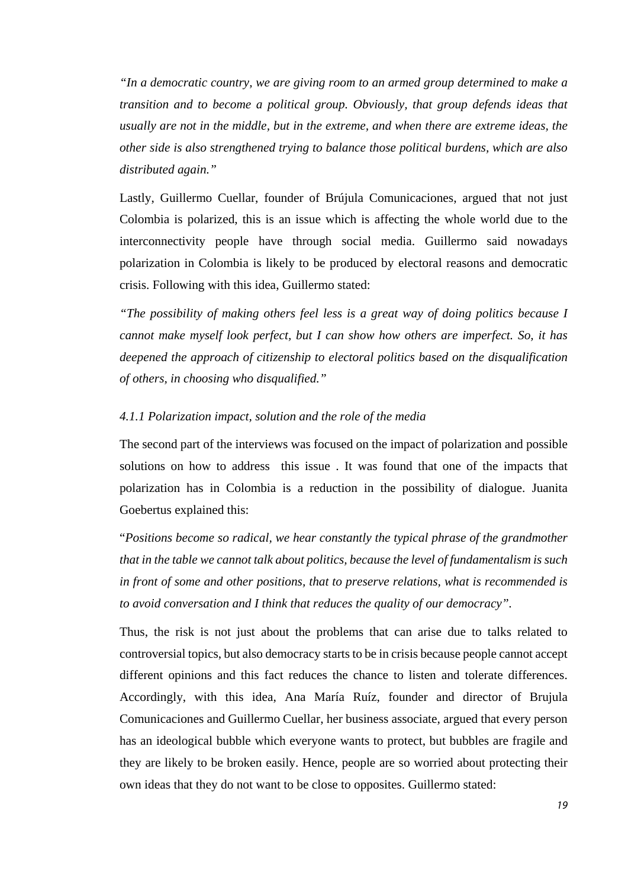*"In a democratic country, we are giving room to an armed group determined to make a transition and to become a political group. Obviously, that group defends ideas that usually are not in the middle, but in the extreme, and when there are extreme ideas, the other side is also strengthened trying to balance those political burdens, which are also distributed again."*

Lastly, Guillermo Cuellar, founder of Brújula Comunicaciones, argued that not just Colombia is polarized, this is an issue which is affecting the whole world due to the interconnectivity people have through social media. Guillermo said nowadays polarization in Colombia is likely to be produced by electoral reasons and democratic crisis. Following with this idea, Guillermo stated:

*"The possibility of making others feel less is a great way of doing politics because I cannot make myself look perfect, but I can show how others are imperfect. So, it has deepened the approach of citizenship to electoral politics based on the disqualification of others, in choosing who disqualified."*

# *4.1.1 Polarization impact, solution and the role of the media*

The second part of the interviews was focused on the impact of polarization and possible solutions on how to address this issue . It was found that one of the impacts that polarization has in Colombia is a reduction in the possibility of dialogue. Juanita Goebertus explained this:

"*Positions become so radical, we hear constantly the typical phrase of the grandmother that in the table we cannot talk about politics, because the level of fundamentalism is such in front of some and other positions, that to preserve relations, what is recommended is to avoid conversation and I think that reduces the quality of our democracy".*

Thus, the risk is not just about the problems that can arise due to talks related to controversial topics, but also democracy starts to be in crisis because people cannot accept different opinions and this fact reduces the chance to listen and tolerate differences. Accordingly, with this idea, Ana María Ruíz, founder and director of Brujula Comunicaciones and Guillermo Cuellar, her business associate, argued that every person has an ideological bubble which everyone wants to protect, but bubbles are fragile and they are likely to be broken easily. Hence, people are so worried about protecting their own ideas that they do not want to be close to opposites. Guillermo stated: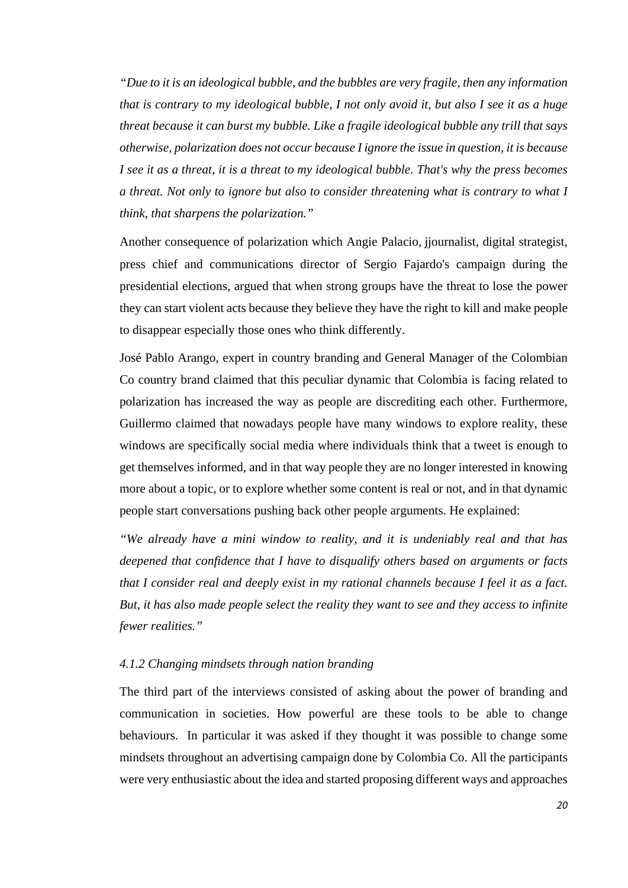*"Due to it is an ideological bubble, and the bubbles are very fragile, then any information that is contrary to my ideological bubble, I not only avoid it, but also I see it as a huge threat because it can burst my bubble. Like a fragile ideological bubble any trill that says otherwise, polarization does not occur because I ignore the issue in question, it is because I see it as a threat, it is a threat to my ideological bubble. That's why the press becomes a threat. Not only to ignore but also to consider threatening what is contrary to what I think, that sharpens the polarization."*

Another consequence of polarization which Angie Palacio, jjournalist, digital strategist, press chief and communications director of Sergio Fajardo's campaign during the presidential elections, argued that when strong groups have the threat to lose the power they can start violent acts because they believe they have the right to kill and make people to disappear especially those ones who think differently.

José Pablo Arango, expert in country branding and General Manager of the Colombian Co country brand claimed that this peculiar dynamic that Colombia is facing related to polarization has increased the way as people are discrediting each other. Furthermore, Guillermo claimed that nowadays people have many windows to explore reality, these windows are specifically social media where individuals think that a tweet is enough to get themselves informed, and in that way people they are no longer interested in knowing more about a topic, or to explore whether some content is real or not, and in that dynamic people start conversations pushing back other people arguments. He explained:

*"We already have a mini window to reality, and it is undeniably real and that has deepened that confidence that I have to disqualify others based on arguments or facts that I consider real and deeply exist in my rational channels because I feel it as a fact. But, it has also made people select the reality they want to see and they access to infinite fewer realities."*

# *4.1.2 Changing mindsets through nation branding*

The third part of the interviews consisted of asking about the power of branding and communication in societies. How powerful are these tools to be able to change behaviours. In particular it was asked if they thought it was possible to change some mindsets throughout an advertising campaign done by Colombia Co. All the participants were very enthusiastic about the idea and started proposing different ways and approaches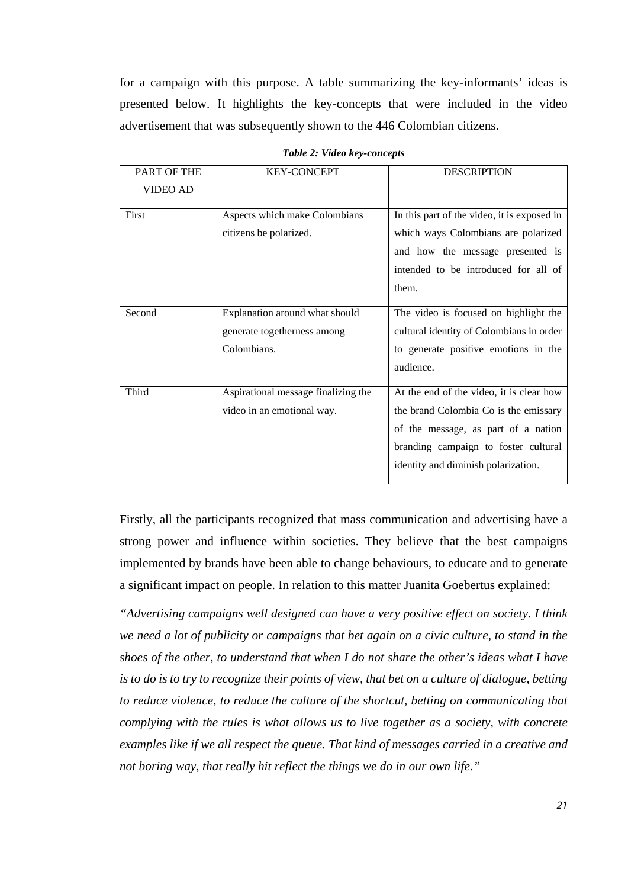for a campaign with this purpose. A table summarizing the key-informants' ideas is presented below. It highlights the key-concepts that were included in the video advertisement that was subsequently shown to the 446 Colombian citizens.

| <b>PART OF THE</b> | <b>KEY-CONCEPT</b>                  | <b>DESCRIPTION</b>                          |
|--------------------|-------------------------------------|---------------------------------------------|
| <b>VIDEO AD</b>    |                                     |                                             |
| First              | Aspects which make Colombians       | In this part of the video, it is exposed in |
|                    | citizens be polarized.              | which ways Colombians are polarized         |
|                    |                                     | and how the message presented is            |
|                    |                                     | intended to be introduced for all of        |
|                    |                                     | them.                                       |
| Second             | Explanation around what should      | The video is focused on highlight the       |
|                    | generate togetherness among         | cultural identity of Colombians in order    |
|                    | Colombians.                         | to generate positive emotions in the        |
|                    |                                     | audience.                                   |
|                    |                                     |                                             |
| Third              | Aspirational message finalizing the | At the end of the video, it is clear how    |
|                    | video in an emotional way.          | the brand Colombia Co is the emissary       |
|                    |                                     | of the message, as part of a nation         |
|                    |                                     | branding campaign to foster cultural        |
|                    |                                     | identity and diminish polarization.         |
|                    |                                     |                                             |

*Table 2: Video key-concepts*

Firstly, all the participants recognized that mass communication and advertising have a strong power and influence within societies. They believe that the best campaigns implemented by brands have been able to change behaviours, to educate and to generate a significant impact on people. In relation to this matter Juanita Goebertus explained:

*"Advertising campaigns well designed can have a very positive effect on society. I think we need a lot of publicity or campaigns that bet again on a civic culture, to stand in the shoes of the other, to understand that when I do not share the other's ideas what I have is to do is to try to recognize their points of view, that bet on a culture of dialogue, betting to reduce violence, to reduce the culture of the shortcut, betting on communicating that complying with the rules is what allows us to live together as a society, with concrete examples like if we all respect the queue. That kind of messages carried in a creative and not boring way, that really hit reflect the things we do in our own life."*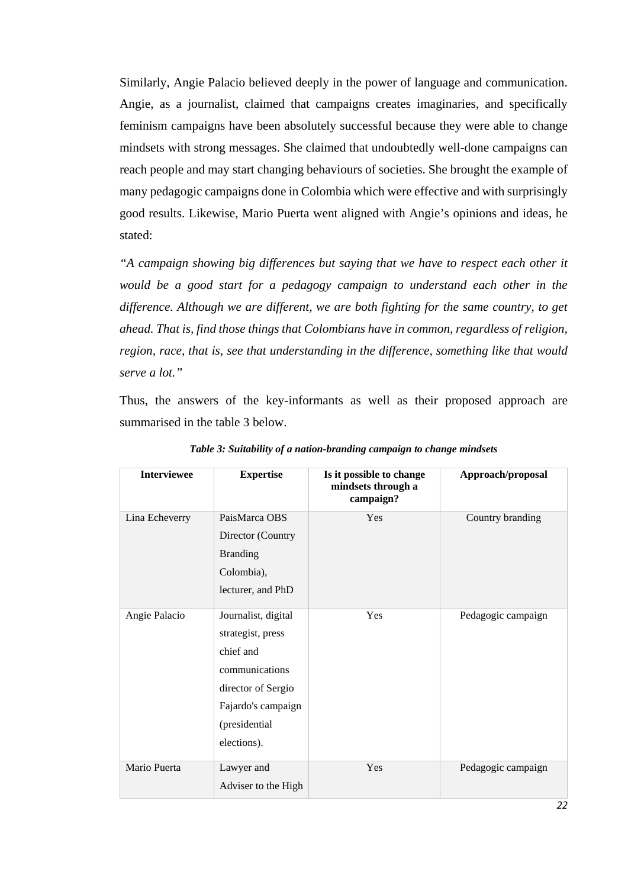Similarly, Angie Palacio believed deeply in the power of language and communication. Angie, as a journalist, claimed that campaigns creates imaginaries, and specifically feminism campaigns have been absolutely successful because they were able to change mindsets with strong messages. She claimed that undoubtedly well-done campaigns can reach people and may start changing behaviours of societies. She brought the example of many pedagogic campaigns done in Colombia which were effective and with surprisingly good results. Likewise, Mario Puerta went aligned with Angie's opinions and ideas, he stated:

*"A campaign showing big differences but saying that we have to respect each other it would be a good start for a pedagogy campaign to understand each other in the difference. Although we are different, we are both fighting for the same country, to get ahead. That is, find those things that Colombians have in common, regardless of religion, region, race, that is, see that understanding in the difference, something like that would serve a lot."*

Thus, the answers of the key-informants as well as their proposed approach are summarised in the table 3 below.

| <b>Interviewee</b> | <b>Expertise</b>                                                                                                                                    | Is it possible to change<br>mindsets through a<br>campaign? | Approach/proposal  |
|--------------------|-----------------------------------------------------------------------------------------------------------------------------------------------------|-------------------------------------------------------------|--------------------|
| Lina Echeverry     | PaisMarca OBS<br>Director (Country<br><b>Branding</b>                                                                                               | Yes                                                         | Country branding   |
|                    | Colombia),<br>lecturer, and PhD                                                                                                                     |                                                             |                    |
| Angie Palacio      | Journalist, digital<br>strategist, press<br>chief and<br>communications<br>director of Sergio<br>Fajardo's campaign<br>(presidential<br>elections). | Yes                                                         | Pedagogic campaign |
| Mario Puerta       | Lawyer and<br>Adviser to the High                                                                                                                   | Yes                                                         | Pedagogic campaign |

*Table 3: Suitability of a nation-branding campaign to change mindsets*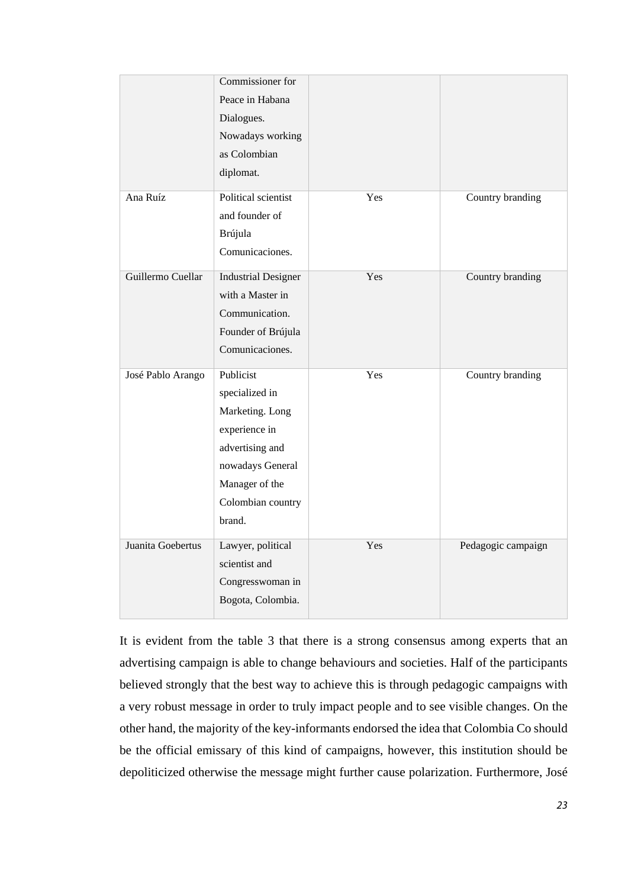|                   | Commissioner for<br>Peace in Habana<br>Dialogues.<br>Nowadays working<br>as Colombian<br>diplomat.                                                      |     |                    |
|-------------------|---------------------------------------------------------------------------------------------------------------------------------------------------------|-----|--------------------|
| Ana Ruíz          | Political scientist<br>and founder of<br>Brújula<br>Comunicaciones.                                                                                     | Yes | Country branding   |
| Guillermo Cuellar | <b>Industrial Designer</b><br>with a Master in<br>Communication.<br>Founder of Brújula<br>Comunicaciones.                                               | Yes | Country branding   |
| José Pablo Arango | Publicist<br>specialized in<br>Marketing. Long<br>experience in<br>advertising and<br>nowadays General<br>Manager of the<br>Colombian country<br>brand. | Yes | Country branding   |
| Juanita Goebertus | Lawyer, political<br>scientist and<br>Congresswoman in<br>Bogota, Colombia.                                                                             | Yes | Pedagogic campaign |

It is evident from the table 3 that there is a strong consensus among experts that an advertising campaign is able to change behaviours and societies. Half of the participants believed strongly that the best way to achieve this is through pedagogic campaigns with a very robust message in order to truly impact people and to see visible changes. On the other hand, the majority of the key-informants endorsed the idea that Colombia Co should be the official emissary of this kind of campaigns, however, this institution should be depoliticized otherwise the message might further cause polarization. Furthermore, José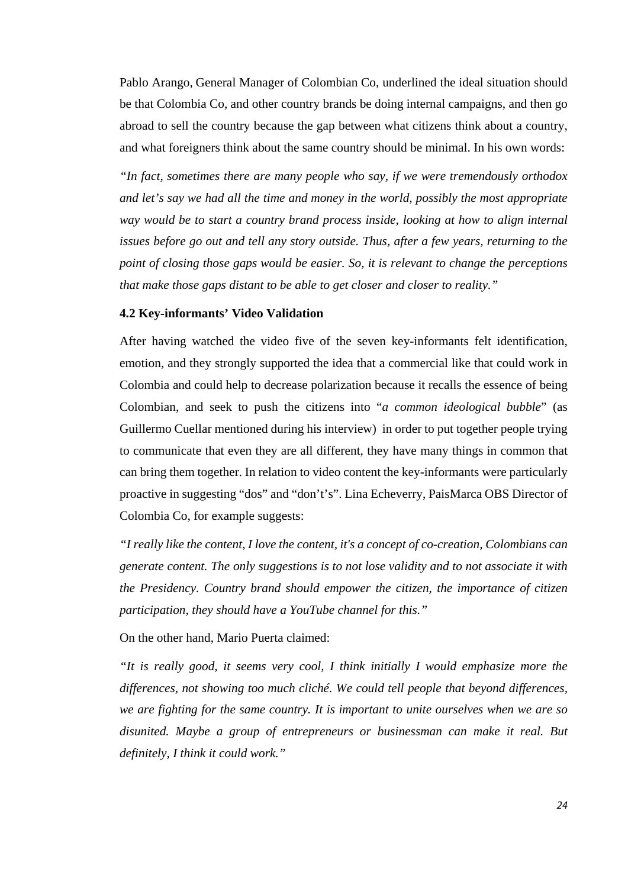Pablo Arango, General Manager of Colombian Co, underlined the ideal situation should be that Colombia Co, and other country brands be doing internal campaigns, and then go abroad to sell the country because the gap between what citizens think about a country, and what foreigners think about the same country should be minimal. In his own words:

*"In fact, sometimes there are many people who say, if we were tremendously orthodox and let's say we had all the time and money in the world, possibly the most appropriate way would be to start a country brand process inside, looking at how to align internal issues before go out and tell any story outside. Thus, after a few years, returning to the point of closing those gaps would be easier. So, it is relevant to change the perceptions that make those gaps distant to be able to get closer and closer to reality."*

#### **4.2 Key-informants' Video Validation**

After having watched the video five of the seven key-informants felt identification, emotion, and they strongly supported the idea that a commercial like that could work in Colombia and could help to decrease polarization because it recalls the essence of being Colombian, and seek to push the citizens into "*a common ideological bubble*" (as Guillermo Cuellar mentioned during his interview) in order to put together people trying to communicate that even they are all different, they have many things in common that can bring them together. In relation to video content the key-informants were particularly proactive in suggesting "dos" and "don't's". Lina Echeverry, PaisMarca OBS Director of Colombia Co, for example suggests:

*"I really like the content, I love the content, it's a concept of co-creation, Colombians can generate content. The only suggestions is to not lose validity and to not associate it with the Presidency. Country brand should empower the citizen, the importance of citizen participation, they should have a YouTube channel for this."*

On the other hand, Mario Puerta claimed:

*"It is really good, it seems very cool, I think initially I would emphasize more the differences, not showing too much cliché. We could tell people that beyond differences, we are fighting for the same country. It is important to unite ourselves when we are so disunited. Maybe a group of entrepreneurs or businessman can make it real. But definitely, I think it could work."*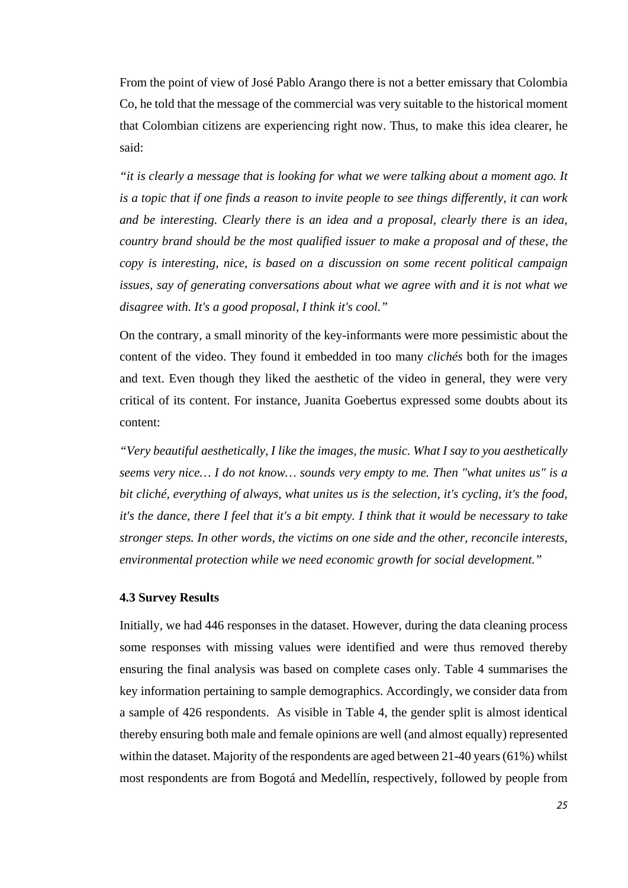From the point of view of José Pablo Arango there is not a better emissary that Colombia Co, he told that the message of the commercial was very suitable to the historical moment that Colombian citizens are experiencing right now. Thus, to make this idea clearer, he said:

*"it is clearly a message that is looking for what we were talking about a moment ago. It is a topic that if one finds a reason to invite people to see things differently, it can work and be interesting. Clearly there is an idea and a proposal, clearly there is an idea, country brand should be the most qualified issuer to make a proposal and of these, the copy is interesting, nice, is based on a discussion on some recent political campaign issues, say of generating conversations about what we agree with and it is not what we disagree with. It's a good proposal, I think it's cool."*

On the contrary, a small minority of the key-informants were more pessimistic about the content of the video. They found it embedded in too many *clichés* both for the images and text. Even though they liked the aesthetic of the video in general, they were very critical of its content. For instance, Juanita Goebertus expressed some doubts about its content:

*"Very beautiful aesthetically, I like the images, the music. What I say to you aesthetically seems very nice… I do not know… sounds very empty to me. Then "what unites us" is a bit cliché, everything of always, what unites us is the selection, it's cycling, it's the food, it's the dance, there I feel that it's a bit empty. I think that it would be necessary to take stronger steps. In other words, the victims on one side and the other, reconcile interests, environmental protection while we need economic growth for social development."* 

# **4.3 Survey Results**

Initially, we had 446 responses in the dataset. However, during the data cleaning process some responses with missing values were identified and were thus removed thereby ensuring the final analysis was based on complete cases only. Table 4 summarises the key information pertaining to sample demographics. Accordingly, we consider data from a sample of 426 respondents. As visible in Table 4, the gender split is almost identical thereby ensuring both male and female opinions are well (and almost equally) represented within the dataset. Majority of the respondents are aged between 21-40 years (61%) whilst most respondents are from Bogotá and Medellín, respectively, followed by people from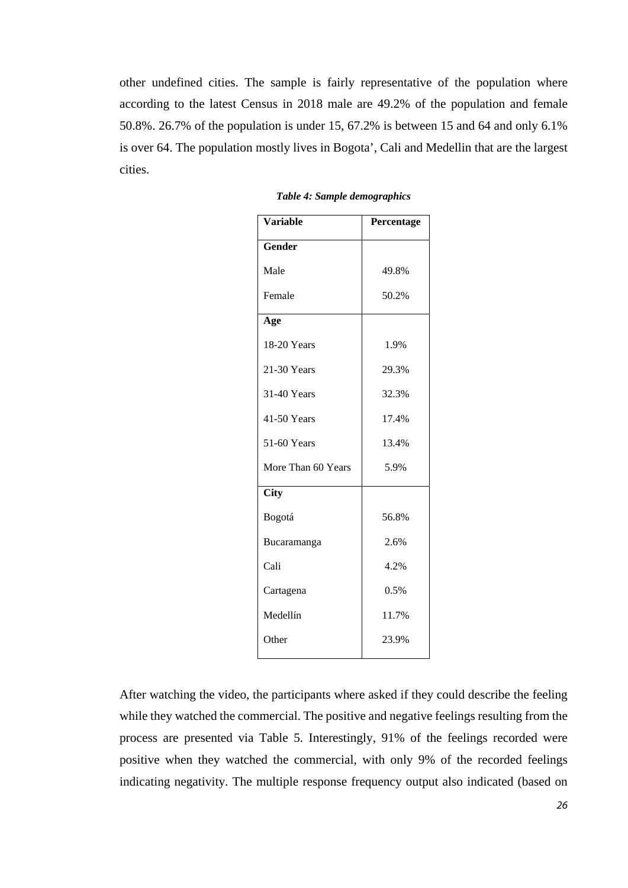other undefined cities. The sample is fairly representative of the population where according to the latest Census in 2018 male are 49.2% of the population and female 50.8%. 26.7% of the population is under 15, 67.2% is between 15 and 64 and only 6.1% is over 64. The population mostly lives in Bogota', Cali and Medellin that are the largest cities.

| <b>Variable</b>    | Percentage |
|--------------------|------------|
| <b>Gender</b>      |            |
| Male               | 49.8%      |
| Female             | 50.2%      |
| Age                |            |
| 18-20 Years        | 1.9%       |
| 21-30 Years        | 29.3%      |
| 31-40 Years        | 32.3%      |
| 41-50 Years        | 17.4%      |
| 51-60 Years        | 13.4%      |
| More Than 60 Years | 5.9%       |
| <b>City</b>        |            |
| Bogotá             | 56.8%      |
| Bucaramanga        | 2.6%       |
| Cali               | 4.2%       |
| Cartagena          | 0.5%       |
| Medellín           | 11.7%      |
| Other              | 23.9%      |

*Table 4: Sample demographics*

After watching the video, the participants where asked if they could describe the feeling while they watched the commercial. The positive and negative feelings resulting from the process are presented via Table 5. Interestingly, 91% of the feelings recorded were positive when they watched the commercial, with only 9% of the recorded feelings indicating negativity. The multiple response frequency output also indicated (based on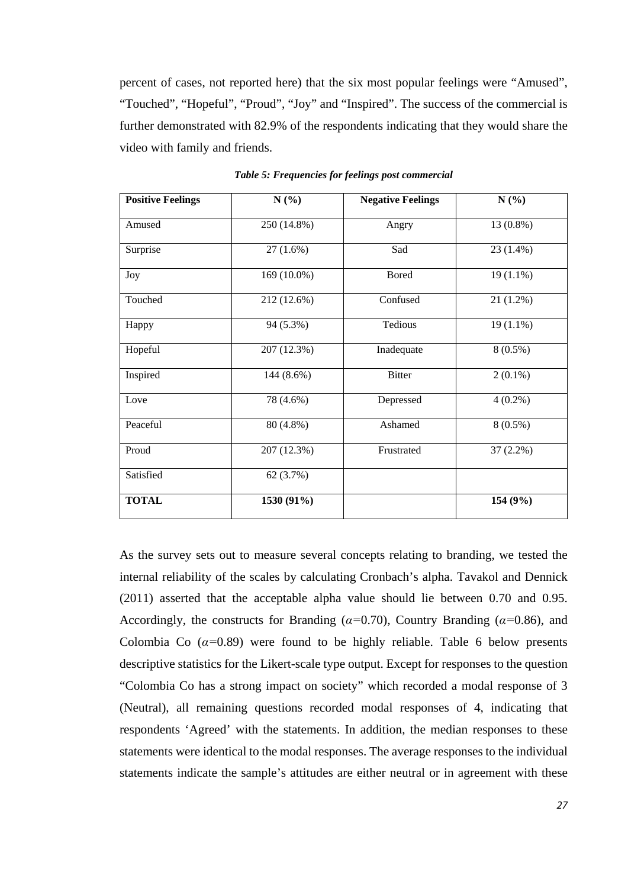percent of cases, not reported here) that the six most popular feelings were "Amused", "Touched", "Hopeful", "Proud", "Joy" and "Inspired". The success of the commercial is further demonstrated with 82.9% of the respondents indicating that they would share the video with family and friends.

| <b>Positive Feelings</b> | N(%)        | <b>Negative Feelings</b> | N(%)        |
|--------------------------|-------------|--------------------------|-------------|
| Amused                   | 250 (14.8%) | Angry                    | 13 (0.8%)   |
| Surprise                 | 27(1.6%)    | Sad                      | $23(1.4\%)$ |
| Joy                      | 169 (10.0%) | <b>Bored</b>             | $19(1.1\%)$ |
| Touched                  | 212 (12.6%) | Confused                 | $21(1.2\%)$ |
| Happy                    | 94 (5.3%)   | Tedious                  | $19(1.1\%)$ |
| Hopeful                  | 207 (12.3%) | Inadequate               | $8(0.5\%)$  |
| Inspired                 | 144 (8.6%)  | <b>Bitter</b>            | $2(0.1\%)$  |
| Love                     | 78 (4.6%)   | Depressed                | $4(0.2\%)$  |
| Peaceful                 | 80 (4.8%)   | Ashamed                  | $8(0.5\%)$  |
| Proud                    | 207 (12.3%) | Frustrated               | $37(2.2\%)$ |
| Satisfied                | 62 (3.7%)   |                          |             |
| <b>TOTAL</b>             | 1530 (91%)  |                          | 154 (9%)    |

*Table 5: Frequencies for feelings post commercial*

As the survey sets out to measure several concepts relating to branding, we tested the internal reliability of the scales by calculating Cronbach's alpha. Tavakol and Dennick (2011) asserted that the acceptable alpha value should lie between 0.70 and 0.95. Accordingly, the constructs for Branding (*α=*0.70), Country Branding (*α=*0.86), and Colombia Co  $(a=0.89)$  were found to be highly reliable. Table 6 below presents descriptive statistics for the Likert-scale type output. Except for responses to the question "Colombia Co has a strong impact on society" which recorded a modal response of 3 (Neutral), all remaining questions recorded modal responses of 4, indicating that respondents 'Agreed' with the statements. In addition, the median responses to these statements were identical to the modal responses. The average responses to the individual statements indicate the sample's attitudes are either neutral or in agreement with these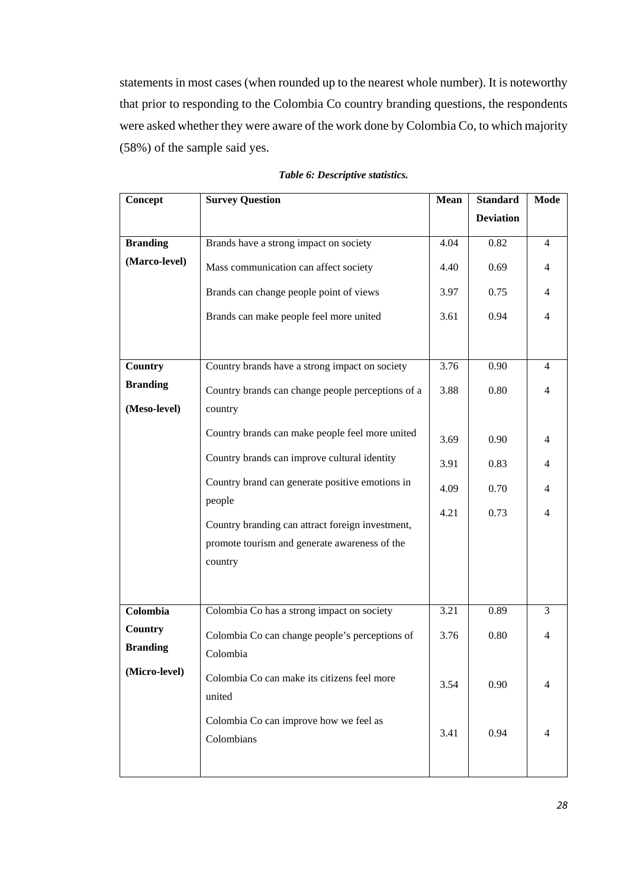statements in most cases (when rounded up to the nearest whole number). It is noteworthy that prior to responding to the Colombia Co country branding questions, the respondents were asked whether they were aware of the work done by Colombia Co, to which majority (58%) of the sample said yes.

| Concept         | <b>Survey Question</b>                                     |      | <b>Standard</b>  | Mode           |
|-----------------|------------------------------------------------------------|------|------------------|----------------|
|                 |                                                            |      | <b>Deviation</b> |                |
| <b>Branding</b> | Brands have a strong impact on society                     | 4.04 | 0.82             | $\overline{4}$ |
| (Marco-level)   | Mass communication can affect society                      | 4.40 | 0.69             | $\overline{4}$ |
|                 | Brands can change people point of views                    | 3.97 | 0.75             | $\overline{4}$ |
|                 | Brands can make people feel more united                    | 3.61 | 0.94             | $\overline{4}$ |
|                 |                                                            |      |                  |                |
| Country         | Country brands have a strong impact on society             | 3.76 | 0.90             | $\overline{4}$ |
| <b>Branding</b> | Country brands can change people perceptions of a          | 3.88 | 0.80             | $\overline{4}$ |
| (Meso-level)    | country                                                    |      |                  |                |
|                 | Country brands can make people feel more united            | 3.69 | 0.90             | $\overline{4}$ |
|                 | Country brands can improve cultural identity               | 3.91 | 0.83             | $\overline{4}$ |
|                 | Country brand can generate positive emotions in            | 4.09 | 0.70             | $\overline{4}$ |
|                 | people<br>Country branding can attract foreign investment, | 4.21 | 0.73             | $\overline{4}$ |
|                 | promote tourism and generate awareness of the              |      |                  |                |
|                 | country                                                    |      |                  |                |
|                 |                                                            |      |                  |                |
|                 |                                                            |      |                  |                |
| Colombia        | Colombia Co has a strong impact on society                 | 3.21 | 0.89             | 3              |
| <b>Country</b>  | Colombia Co can change people's perceptions of             | 3.76 | 0.80             | $\overline{4}$ |
| <b>Branding</b> | Colombia                                                   |      |                  |                |
| (Micro-level)   | Colombia Co can make its citizens feel more<br>united      | 3.54 | 0.90             | 4              |
|                 | Colombia Co can improve how we feel as<br>Colombians       | 3.41 | 0.94             | $\overline{4}$ |
|                 |                                                            |      |                  |                |

#### *Table 6: Descriptive statistics.*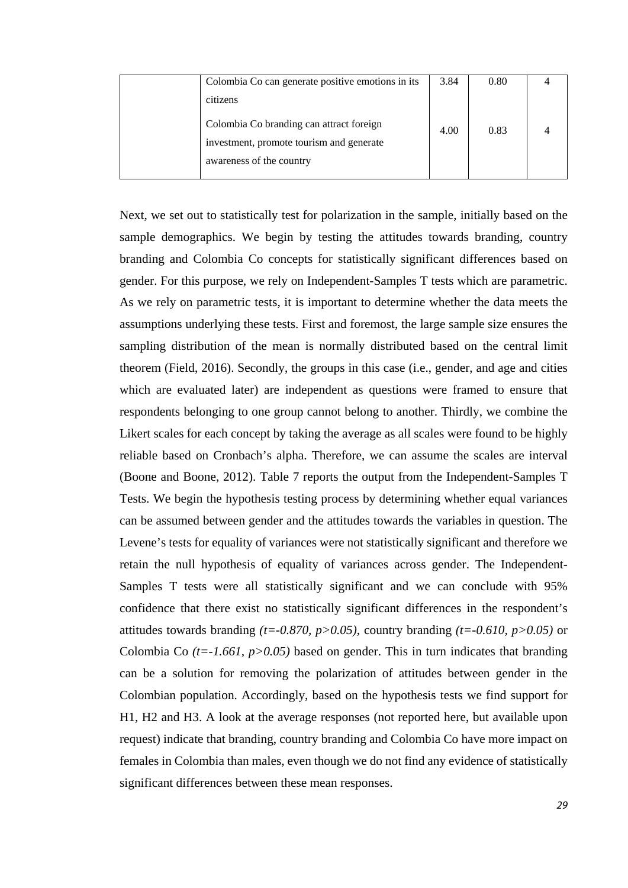| Colombia Co can generate positive emotions in its                                                                | 3.84 | 0.80 |  |
|------------------------------------------------------------------------------------------------------------------|------|------|--|
| citizens                                                                                                         |      |      |  |
| Colombia Co branding can attract foreign<br>investment, promote tourism and generate<br>awareness of the country | 4.00 | 0.83 |  |

Next, we set out to statistically test for polarization in the sample, initially based on the sample demographics. We begin by testing the attitudes towards branding, country branding and Colombia Co concepts for statistically significant differences based on gender. For this purpose, we rely on Independent-Samples T tests which are parametric. As we rely on parametric tests, it is important to determine whether the data meets the assumptions underlying these tests. First and foremost, the large sample size ensures the sampling distribution of the mean is normally distributed based on the central limit theorem (Field, 2016). Secondly, the groups in this case (i.e., gender, and age and cities which are evaluated later) are independent as questions were framed to ensure that respondents belonging to one group cannot belong to another. Thirdly, we combine the Likert scales for each concept by taking the average as all scales were found to be highly reliable based on Cronbach's alpha. Therefore, we can assume the scales are interval (Boone and Boone, 2012). Table 7 reports the output from the Independent-Samples T Tests. We begin the hypothesis testing process by determining whether equal variances can be assumed between gender and the attitudes towards the variables in question. The Levene's tests for equality of variances were not statistically significant and therefore we retain the null hypothesis of equality of variances across gender. The Independent-Samples T tests were all statistically significant and we can conclude with 95% confidence that there exist no statistically significant differences in the respondent's attitudes towards branding  $(t=0.870, p>0.05)$ , country branding  $(t=-0.610, p>0.05)$  or Colombia Co  $(t=1.661, p>0.05)$  based on gender. This in turn indicates that branding can be a solution for removing the polarization of attitudes between gender in the Colombian population. Accordingly, based on the hypothesis tests we find support for H1, H2 and H3. A look at the average responses (not reported here, but available upon request) indicate that branding, country branding and Colombia Co have more impact on females in Colombia than males, even though we do not find any evidence of statistically significant differences between these mean responses.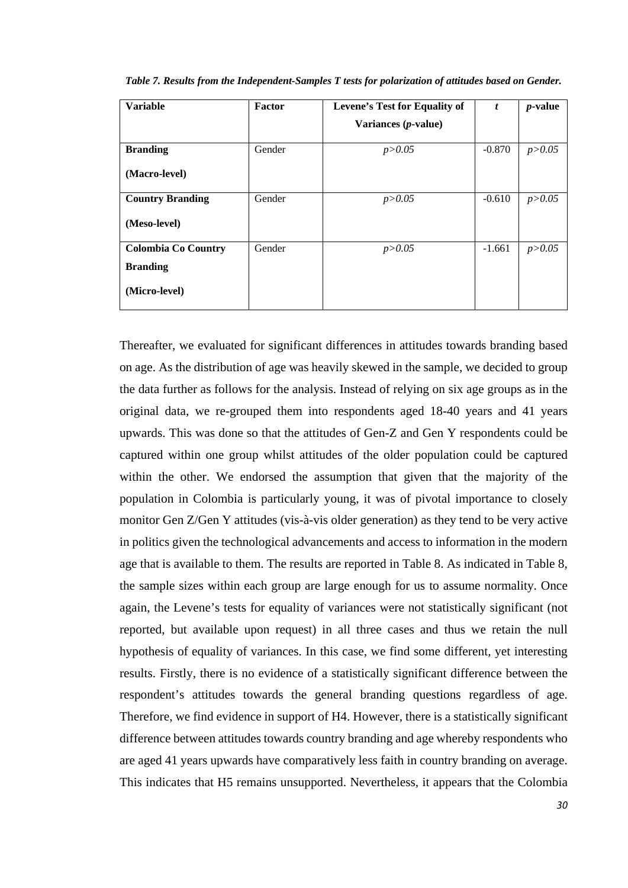| <b>Variable</b>            | Factor | Levene's Test for Equality of | t        | <i>p</i> -value |
|----------------------------|--------|-------------------------------|----------|-----------------|
|                            |        | Variances $(p$ -value)        |          |                 |
| <b>Branding</b>            | Gender | p > 0.05                      | $-0.870$ | p > 0.05        |
| (Macro-level)              |        |                               |          |                 |
| <b>Country Branding</b>    | Gender | p > 0.05                      | $-0.610$ | p > 0.05        |
| (Meso-level)               |        |                               |          |                 |
| <b>Colombia Co Country</b> | Gender | p > 0.05                      | $-1.661$ | p > 0.05        |
| <b>Branding</b>            |        |                               |          |                 |
| (Micro-level)              |        |                               |          |                 |

*Table 7. Results from the Independent-Samples T tests for polarization of attitudes based on Gender.*

Thereafter, we evaluated for significant differences in attitudes towards branding based on age. As the distribution of age was heavily skewed in the sample, we decided to group the data further as follows for the analysis. Instead of relying on six age groups as in the original data, we re-grouped them into respondents aged 18-40 years and 41 years upwards. This was done so that the attitudes of Gen-Z and Gen Y respondents could be captured within one group whilst attitudes of the older population could be captured within the other. We endorsed the assumption that given that the majority of the population in Colombia is particularly young, it was of pivotal importance to closely monitor Gen Z/Gen Y attitudes (vis-à-vis older generation) as they tend to be very active in politics given the technological advancements and access to information in the modern age that is available to them. The results are reported in Table 8. As indicated in Table 8, the sample sizes within each group are large enough for us to assume normality. Once again, the Levene's tests for equality of variances were not statistically significant (not reported, but available upon request) in all three cases and thus we retain the null hypothesis of equality of variances. In this case, we find some different, yet interesting results. Firstly, there is no evidence of a statistically significant difference between the respondent's attitudes towards the general branding questions regardless of age. Therefore, we find evidence in support of H4. However, there is a statistically significant difference between attitudes towards country branding and age whereby respondents who are aged 41 years upwards have comparatively less faith in country branding on average. This indicates that H5 remains unsupported. Nevertheless, it appears that the Colombia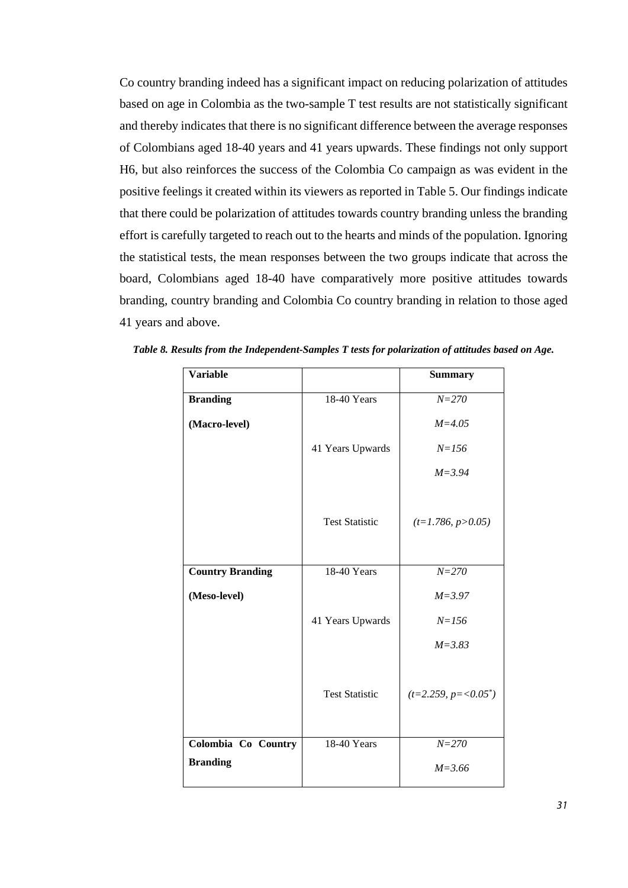Co country branding indeed has a significant impact on reducing polarization of attitudes based on age in Colombia as the two-sample T test results are not statistically significant and thereby indicates that there is no significant difference between the average responses of Colombians aged 18-40 years and 41 years upwards. These findings not only support H6, but also reinforces the success of the Colombia Co campaign as was evident in the positive feelings it created within its viewers as reported in Table 5. Our findings indicate that there could be polarization of attitudes towards country branding unless the branding effort is carefully targeted to reach out to the hearts and minds of the population. Ignoring the statistical tests, the mean responses between the two groups indicate that across the board, Colombians aged 18-40 have comparatively more positive attitudes towards branding, country branding and Colombia Co country branding in relation to those aged 41 years and above.

| <b>Variable</b>         |                       | <b>Summary</b>         |
|-------------------------|-----------------------|------------------------|
| <b>Branding</b>         | 18-40 Years           | $N = 270$              |
| (Macro-level)           |                       | $M = 4.05$             |
|                         | 41 Years Upwards      | $N = 156$              |
|                         |                       | $M = 3.94$             |
|                         | <b>Test Statistic</b> | $(t=1.786, p>0.05)$    |
| <b>Country Branding</b> | 18-40 Years           | $N = 270$              |
| (Meso-level)            |                       | $M = 3.97$             |
|                         | 41 Years Upwards      | $N = 156$              |
|                         |                       | $M = 3.83$             |
|                         | <b>Test Statistic</b> | $(t=2.259, p=<0.05^*)$ |
| Colombia Co Country     | 18-40 Years           | $N = 270$              |
| <b>Branding</b>         |                       | $M = 3.66$             |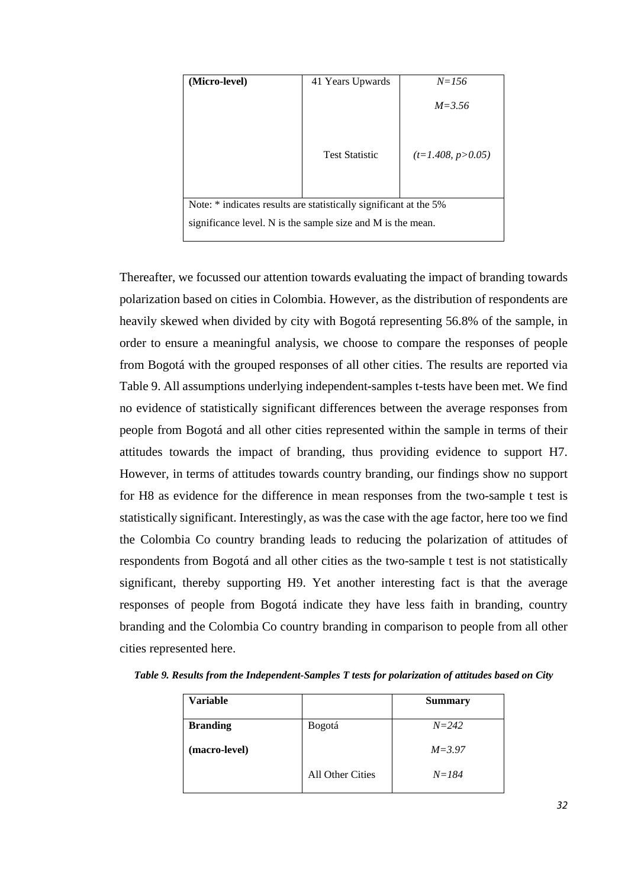| (Micro-level)                                                     | 41 Years Upwards      | $N = 156$           |  |  |
|-------------------------------------------------------------------|-----------------------|---------------------|--|--|
|                                                                   |                       | $M = 3.56$          |  |  |
|                                                                   | <b>Test Statistic</b> | $(t=1.408, p>0.05)$ |  |  |
| Note: * indicates results are statistically significant at the 5% |                       |                     |  |  |
| significance level. N is the sample size and M is the mean.       |                       |                     |  |  |

Thereafter, we focussed our attention towards evaluating the impact of branding towards polarization based on cities in Colombia. However, as the distribution of respondents are heavily skewed when divided by city with Bogotá representing 56.8% of the sample, in order to ensure a meaningful analysis, we choose to compare the responses of people from Bogotá with the grouped responses of all other cities. The results are reported via Table 9. All assumptions underlying independent-samples t-tests have been met. We find no evidence of statistically significant differences between the average responses from people from Bogotá and all other cities represented within the sample in terms of their attitudes towards the impact of branding, thus providing evidence to support H7. However, in terms of attitudes towards country branding, our findings show no support for H8 as evidence for the difference in mean responses from the two-sample t test is statistically significant. Interestingly, as was the case with the age factor, here too we find the Colombia Co country branding leads to reducing the polarization of attitudes of respondents from Bogotá and all other cities as the two-sample t test is not statistically significant, thereby supporting H9. Yet another interesting fact is that the average responses of people from Bogotá indicate they have less faith in branding, country branding and the Colombia Co country branding in comparison to people from all other cities represented here.

| <b>Variable</b> |                  | <b>Summary</b> |
|-----------------|------------------|----------------|
| <b>Branding</b> | Bogotá           | $N = 242$      |
| (macro-level)   |                  | $M = 3.97$     |
|                 | All Other Cities | $N = 184$      |

*Table 9. Results from the Independent-Samples T tests for polarization of attitudes based on City*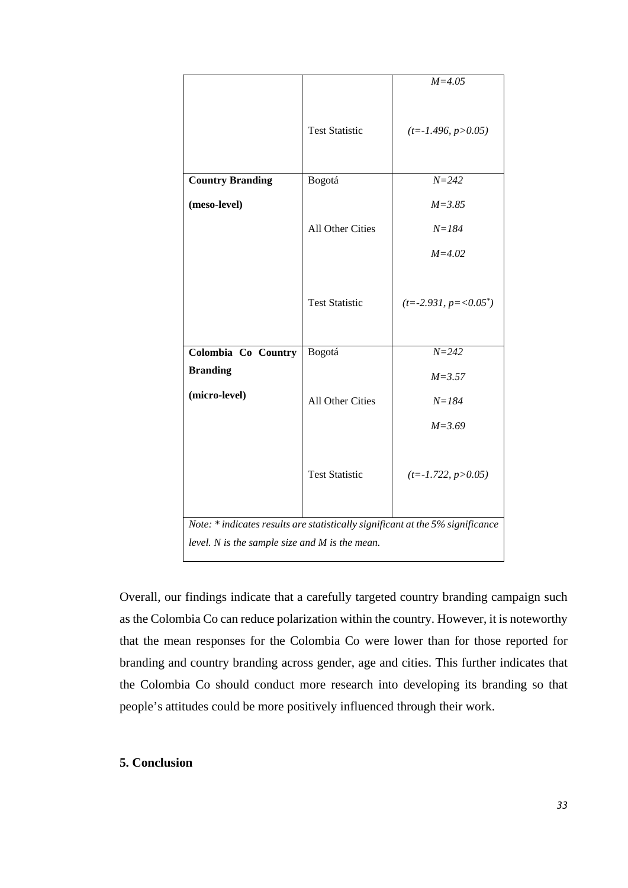|                                                                                                                                      |                       | $M = 4.05$                  |  |  |  |
|--------------------------------------------------------------------------------------------------------------------------------------|-----------------------|-----------------------------|--|--|--|
|                                                                                                                                      | <b>Test Statistic</b> | $(t = -1.496, p > 0.05)$    |  |  |  |
| <b>Country Branding</b>                                                                                                              | Bogotá                | $N = 242$                   |  |  |  |
| (meso-level)                                                                                                                         |                       | $M = 3.85$                  |  |  |  |
|                                                                                                                                      | All Other Cities      | $N = 184$                   |  |  |  |
|                                                                                                                                      |                       | $M = 4.02$                  |  |  |  |
|                                                                                                                                      | <b>Test Statistic</b> | $(t = -2.931, p = <0.05^*)$ |  |  |  |
| Colombia Co Country                                                                                                                  | Bogotá                | $N = 242$                   |  |  |  |
| <b>Branding</b>                                                                                                                      |                       | $M = 3.57$                  |  |  |  |
| (micro-level)                                                                                                                        | All Other Cities      | $N = 184$                   |  |  |  |
|                                                                                                                                      |                       | $M = 3.69$                  |  |  |  |
|                                                                                                                                      | <b>Test Statistic</b> | $(t = -1.722, p > 0.05)$    |  |  |  |
| Note: * indicates results are statistically significant at the 5% significance<br>level. $N$ is the sample size and $M$ is the mean. |                       |                             |  |  |  |
|                                                                                                                                      |                       |                             |  |  |  |

Overall, our findings indicate that a carefully targeted country branding campaign such as the Colombia Co can reduce polarization within the country. However, it is noteworthy that the mean responses for the Colombia Co were lower than for those reported for branding and country branding across gender, age and cities. This further indicates that the Colombia Co should conduct more research into developing its branding so that people's attitudes could be more positively influenced through their work.

# **5. Conclusion**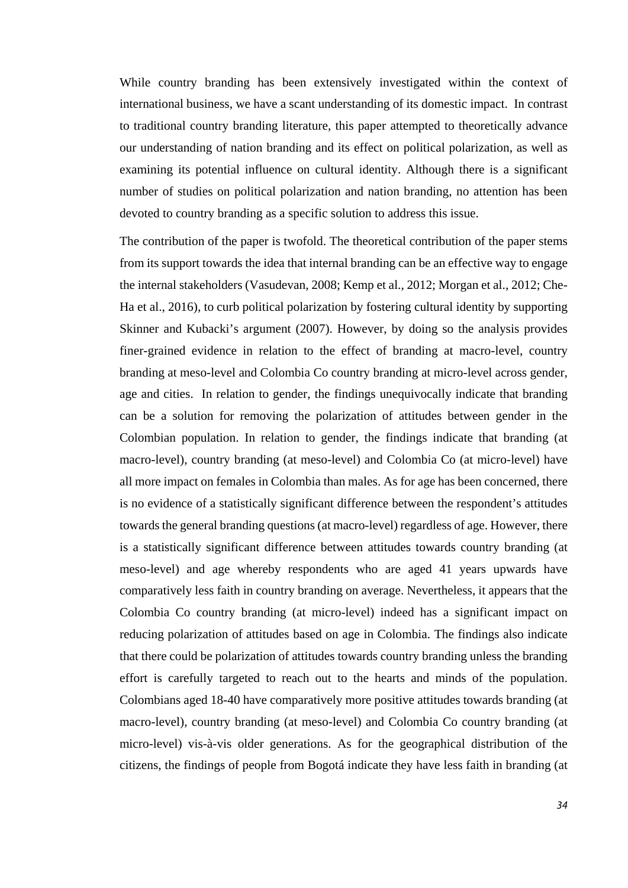While country branding has been extensively investigated within the context of international business, we have a scant understanding of its domestic impact. In contrast to traditional country branding literature, this paper attempted to theoretically advance our understanding of nation branding and its effect on political polarization, as well as examining its potential influence on cultural identity. Although there is a significant number of studies on political polarization and nation branding, no attention has been devoted to country branding as a specific solution to address this issue.

The contribution of the paper is twofold. The theoretical contribution of the paper stems from its support towards the idea that internal branding can be an effective way to engage the internal stakeholders (Vasudevan, 2008; Kemp et al., 2012; Morgan et al., 2012; Che-Ha et al., 2016), to curb political polarization by fostering cultural identity by supporting Skinner and Kubacki's argument (2007). However, by doing so the analysis provides finer-grained evidence in relation to the effect of branding at macro-level, country branding at meso-level and Colombia Co country branding at micro-level across gender, age and cities. In relation to gender, the findings unequivocally indicate that branding can be a solution for removing the polarization of attitudes between gender in the Colombian population. In relation to gender, the findings indicate that branding (at macro-level), country branding (at meso-level) and Colombia Co (at micro-level) have all more impact on females in Colombia than males. As for age has been concerned, there is no evidence of a statistically significant difference between the respondent's attitudes towards the general branding questions (at macro-level) regardless of age. However, there is a statistically significant difference between attitudes towards country branding (at meso-level) and age whereby respondents who are aged 41 years upwards have comparatively less faith in country branding on average. Nevertheless, it appears that the Colombia Co country branding (at micro-level) indeed has a significant impact on reducing polarization of attitudes based on age in Colombia. The findings also indicate that there could be polarization of attitudes towards country branding unless the branding effort is carefully targeted to reach out to the hearts and minds of the population. Colombians aged 18-40 have comparatively more positive attitudes towards branding (at macro-level), country branding (at meso-level) and Colombia Co country branding (at micro-level) vis-à-vis older generations. As for the geographical distribution of the citizens, the findings of people from Bogotá indicate they have less faith in branding (at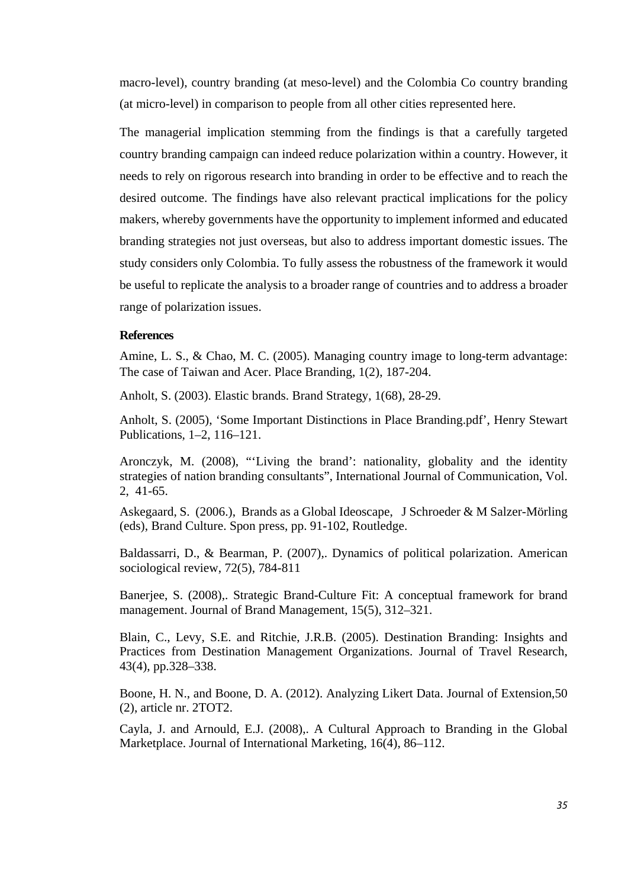macro-level), country branding (at meso-level) and the Colombia Co country branding (at micro-level) in comparison to people from all other cities represented here.

The managerial implication stemming from the findings is that a carefully targeted country branding campaign can indeed reduce polarization within a country. However, it needs to rely on rigorous research into branding in order to be effective and to reach the desired outcome. The findings have also relevant practical implications for the policy makers, whereby governments have the opportunity to implement informed and educated branding strategies not just overseas, but also to address important domestic issues. The study considers only Colombia. To fully assess the robustness of the framework it would be useful to replicate the analysis to a broader range of countries and to address a broader range of polarization issues.

# **References**

Amine, L. S., & Chao, M. C. (2005). Managing country image to long-term advantage: The case of Taiwan and Acer. Place Branding, 1(2), 187-204.

Anholt, S. (2003). Elastic brands. Brand Strategy, 1(68), 28-29.

Anholt, S. (2005), 'Some Important Distinctions in Place Branding.pdf', Henry Stewart Publications, 1–2, 116–121.

Aronczyk, M. (2008), "'Living the brand': nationality, globality and the identity strategies of nation branding consultants", International Journal of Communication, Vol. 2, 41-65.

Askegaard, S. (2006.), Brands as a Global Ideoscape, J Schroeder & M Salzer-Mörling (eds), Brand Culture. Spon press, pp. 91-102, Routledge.

Baldassarri, D., & Bearman, P. (2007),. Dynamics of political polarization. American sociological review, 72(5), 784-811

Banerjee, S. (2008),. Strategic Brand-Culture Fit: A conceptual framework for brand management. Journal of Brand Management, 15(5), 312–321.

Blain, C., Levy, S.E. and Ritchie, J.R.B. (2005). Destination Branding: Insights and Practices from Destination Management Organizations. Journal of Travel Research, 43(4), pp.328–338.

Boone, H. N., and Boone, D. A. (2012). Analyzing Likert Data. Journal of Extension,50 (2), article nr. 2TOT2.

Cayla, J. and Arnould, E.J. (2008),. A Cultural Approach to Branding in the Global Marketplace. Journal of International Marketing, 16(4), 86–112.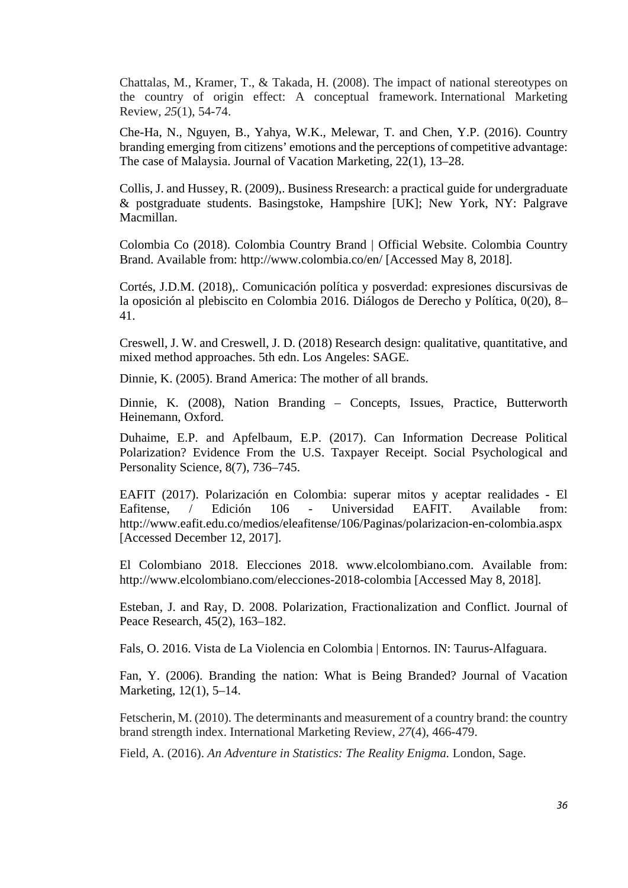Chattalas, M., Kramer, T., & Takada, H. (2008). The impact of national stereotypes on the country of origin effect: A conceptual framework. International Marketing Review, *25*(1), 54-74.

Che-Ha, N., Nguyen, B., Yahya, W.K., Melewar, T. and Chen, Y.P. (2016). Country branding emerging from citizens' emotions and the perceptions of competitive advantage: The case of Malaysia. Journal of Vacation Marketing, 22(1), 13–28.

Collis, J. and Hussey, R. (2009),. Business Rresearch: a practical guide for undergraduate & postgraduate students. Basingstoke, Hampshire [UK]; New York, NY: Palgrave Macmillan.

Colombia Co (2018). Colombia Country Brand | Official Website. Colombia Country Brand. Available from: http://www.colombia.co/en/ [Accessed May 8, 2018].

Cortés, J.D.M. (2018),. Comunicación política y posverdad: expresiones discursivas de la oposición al plebiscito en Colombia 2016. Diálogos de Derecho y Política, 0(20), 8– 41.

Creswell, J. W. and Creswell, J. D. (2018) Research design: qualitative, quantitative, and mixed method approaches. 5th edn. Los Angeles: SAGE.

Dinnie, K. (2005). Brand America: The mother of all brands.

Dinnie, K. (2008), Nation Branding – Concepts, Issues, Practice, Butterworth Heinemann, Oxford.

Duhaime, E.P. and Apfelbaum, E.P. (2017). Can Information Decrease Political Polarization? Evidence From the U.S. Taxpayer Receipt. Social Psychological and Personality Science, 8(7), 736–745.

EAFIT (2017). Polarización en Colombia: superar mitos y aceptar realidades - El Eafitense, / Edición 106 - Universidad EAFIT. Available from: http://www.eafit.edu.co/medios/eleafitense/106/Paginas/polarizacion-en-colombia.aspx [Accessed December 12, 2017].

El Colombiano 2018. Elecciones 2018. www.elcolombiano.com. Available from: http://www.elcolombiano.com/elecciones-2018-colombia [Accessed May 8, 2018].

Esteban, J. and Ray, D. 2008. Polarization, Fractionalization and Conflict. Journal of Peace Research, 45(2), 163–182.

Fals, O. 2016. Vista de La Violencia en Colombia | Entornos. IN: Taurus-Alfaguara.

Fan, Y. (2006). Branding the nation: What is Being Branded? Journal of Vacation Marketing, 12(1), 5–14.

Fetscherin, M. (2010). The determinants and measurement of a country brand: the country brand strength index. International Marketing Review, *27*(4), 466-479.

Field, A. (2016). *An Adventure in Statistics: The Reality Enigma.* London, Sage.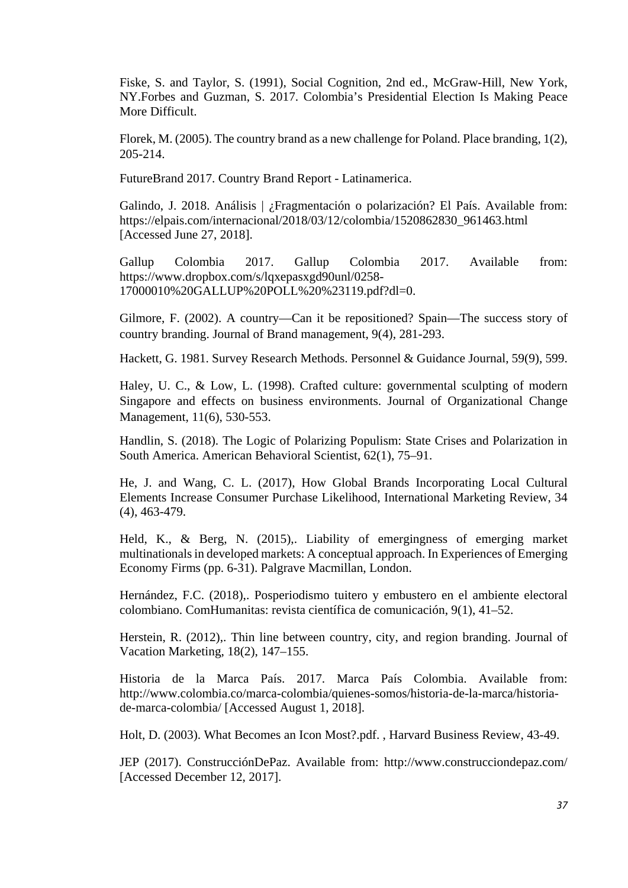Fiske, S. and Taylor, S. (1991), Social Cognition, 2nd ed., McGraw-Hill, New York, NY.Forbes and Guzman, S. 2017. Colombia's Presidential Election Is Making Peace More Difficult.

Florek, M. (2005). The country brand as a new challenge for Poland. Place branding, 1(2), 205-214.

FutureBrand 2017. Country Brand Report - Latinamerica.

Galindo, J. 2018. Análisis | ¿Fragmentación o polarización? El País. Available from: https://elpais.com/internacional/2018/03/12/colombia/1520862830\_961463.html [Accessed June 27, 2018].

Gallup Colombia 2017. Gallup Colombia 2017. Available from: https://www.dropbox.com/s/lqxepasxgd90unl/0258- 17000010%20GALLUP%20POLL%20%23119.pdf?dl=0.

Gilmore, F. (2002). A country—Can it be repositioned? Spain—The success story of country branding. Journal of Brand management, 9(4), 281-293.

Hackett, G. 1981. Survey Research Methods. Personnel & Guidance Journal, 59(9), 599.

Haley, U. C., & Low, L. (1998). Crafted culture: governmental sculpting of modern Singapore and effects on business environments. Journal of Organizational Change Management, 11(6), 530-553.

Handlin, S. (2018). The Logic of Polarizing Populism: State Crises and Polarization in South America. American Behavioral Scientist, 62(1), 75–91.

He, J. and Wang, C. L. (2017), How Global Brands Incorporating Local Cultural Elements Increase Consumer Purchase Likelihood, International Marketing Review, 34 (4), 463-479.

Held, K., & Berg, N. (2015),. Liability of emergingness of emerging market multinationals in developed markets: A conceptual approach. In Experiences of Emerging Economy Firms (pp. 6-31). Palgrave Macmillan, London.

Hernández, F.C. (2018),. Posperiodismo tuitero y embustero en el ambiente electoral colombiano. ComHumanitas: revista científica de comunicación, 9(1), 41–52.

Herstein, R. (2012),. Thin line between country, city, and region branding. Journal of Vacation Marketing, 18(2), 147–155.

Historia de la Marca País. 2017. Marca País Colombia. Available from: http://www.colombia.co/marca-colombia/quienes-somos/historia-de-la-marca/historiade-marca-colombia/ [Accessed August 1, 2018].

Holt, D. (2003). What Becomes an Icon Most?.pdf. , Harvard Business Review, 43-49.

JEP (2017). ConstrucciónDePaz. Available from: http://www.construcciondepaz.com/ [Accessed December 12, 2017].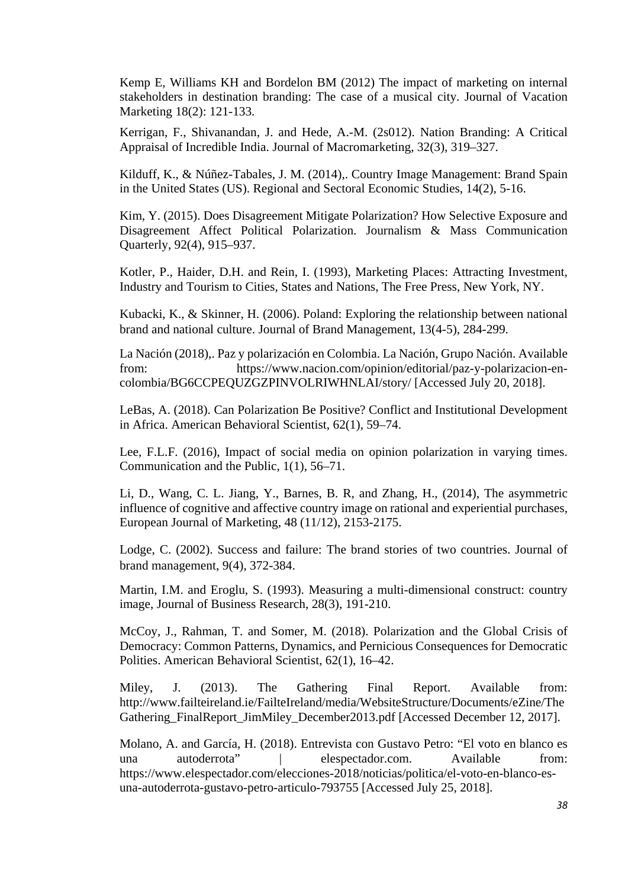Kemp E, Williams KH and Bordelon BM (2012) The impact of marketing on internal stakeholders in destination branding: The case of a musical city. Journal of Vacation Marketing 18(2): 121-133.

Kerrigan, F., Shivanandan, J. and Hede, A.-M. (2s012). Nation Branding: A Critical Appraisal of Incredible India. Journal of Macromarketing, 32(3), 319–327.

Kilduff, K., & Núñez-Tabales, J. M. (2014),. Country Image Management: Brand Spain in the United States (US). Regional and Sectoral Economic Studies, 14(2), 5-16.

Kim, Y. (2015). Does Disagreement Mitigate Polarization? How Selective Exposure and Disagreement Affect Political Polarization. Journalism & Mass Communication Quarterly, 92(4), 915–937.

Kotler, P., Haider, D.H. and Rein, I. (1993), Marketing Places: Attracting Investment, Industry and Tourism to Cities, States and Nations, The Free Press, New York, NY.

Kubacki, K., & Skinner, H. (2006). Poland: Exploring the relationship between national brand and national culture. Journal of Brand Management, 13(4-5), 284-299.

La Nación (2018),. Paz y polarización en Colombia. La Nación, Grupo Nación. Available from: https://www.nacion.com/opinion/editorial/paz-y-polarizacion-encolombia/BG6CCPEQUZGZPINVOLRIWHNLAI/story/ [Accessed July 20, 2018].

LeBas, A. (2018). Can Polarization Be Positive? Conflict and Institutional Development in Africa. American Behavioral Scientist, 62(1), 59–74.

Lee, F.L.F. (2016), Impact of social media on opinion polarization in varying times. Communication and the Public, 1(1), 56–71.

Li, D., Wang, C. L. Jiang, Y., Barnes, B. R, and Zhang, H., (2014), The asymmetric influence of cognitive and affective country image on rational and experiential purchases, European Journal of Marketing, 48 (11/12), 2153-2175.

Lodge, C. (2002). Success and failure: The brand stories of two countries. Journal of brand management, 9(4), 372-384.

Martin, I.M. and Eroglu, S. (1993). Measuring a multi-dimensional construct: country image, Journal of Business Research, 28(3), 191-210.

McCoy, J., Rahman, T. and Somer, M. (2018). Polarization and the Global Crisis of Democracy: Common Patterns, Dynamics, and Pernicious Consequences for Democratic Polities. American Behavioral Scientist, 62(1), 16–42.

Miley, J. (2013). The Gathering Final Report. Available from: http://www.failteireland.ie/FailteIreland/media/WebsiteStructure/Documents/eZine/The Gathering\_FinalReport\_JimMiley\_December2013.pdf [Accessed December 12, 2017].

Molano, A. and García, H. (2018). Entrevista con Gustavo Petro: "El voto en blanco es una autoderrota" | elespectador.com. Available from: https://www.elespectador.com/elecciones-2018/noticias/politica/el-voto-en-blanco-esuna-autoderrota-gustavo-petro-articulo-793755 [Accessed July 25, 2018].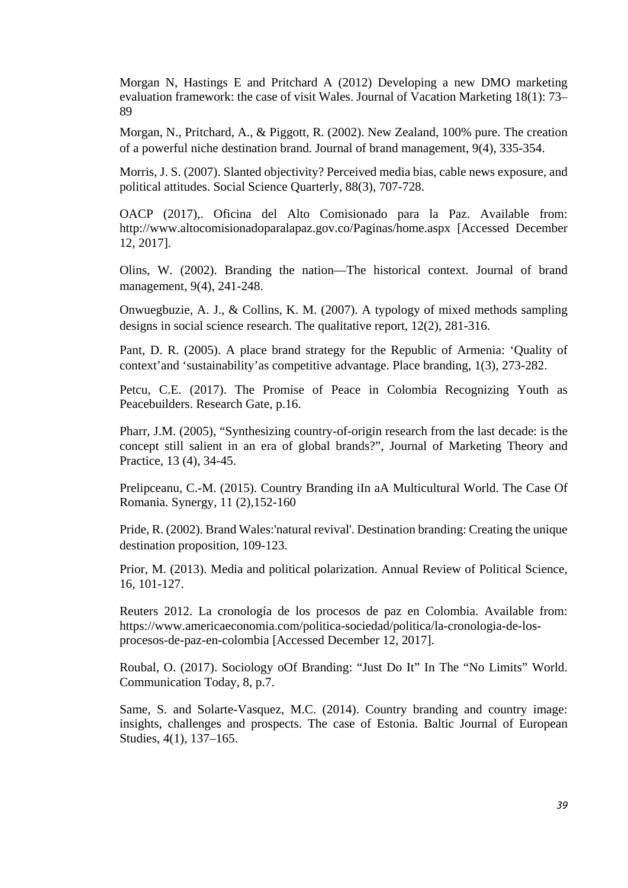Morgan N, Hastings E and Pritchard A (2012) Developing a new DMO marketing evaluation framework: the case of visit Wales. Journal of Vacation Marketing 18(1): 73– 89

Morgan, N., Pritchard, A., & Piggott, R. (2002). New Zealand, 100% pure. The creation of a powerful niche destination brand. Journal of brand management, 9(4), 335-354.

Morris, J. S. (2007). Slanted objectivity? Perceived media bias, cable news exposure, and political attitudes. Social Science Quarterly, 88(3), 707-728.

OACP (2017),. Oficina del Alto Comisionado para la Paz. Available from: http://www.altocomisionadoparalapaz.gov.co/Paginas/home.aspx [Accessed December 12, 2017].

Olins, W. (2002). Branding the nation—The historical context. Journal of brand management, 9(4), 241-248.

Onwuegbuzie, A. J., & Collins, K. M. (2007). A typology of mixed methods sampling designs in social science research. The qualitative report, 12(2), 281-316.

Pant, D. R. (2005). A place brand strategy for the Republic of Armenia: 'Quality of context'and 'sustainability'as competitive advantage. Place branding, 1(3), 273-282.

Petcu, C.E. (2017). The Promise of Peace in Colombia Recognizing Youth as Peacebuilders. Research Gate, p.16.

Pharr, J.M. (2005), "Synthesizing country-of-origin research from the last decade: is the concept still salient in an era of global brands?", Journal of Marketing Theory and Practice, 13 (4), 34-45.

Prelipceanu, C.-M. (2015). Country Branding iIn aA Multicultural World. The Case Of Romania. Synergy, 11 (2),152-160

Pride, R. (2002). Brand Wales:'natural revival'. Destination branding: Creating the unique destination proposition, 109-123.

Prior, M. (2013). Media and political polarization. Annual Review of Political Science, 16, 101-127.

Reuters 2012. La cronología de los procesos de paz en Colombia. Available from: https://www.americaeconomia.com/politica-sociedad/politica/la-cronologia-de-losprocesos-de-paz-en-colombia [Accessed December 12, 2017].

Roubal, O. (2017). Sociology oOf Branding: "Just Do It" In The "No Limits" World. Communication Today, 8, p.7.

Same, S. and Solarte-Vasquez, M.C. (2014). Country branding and country image: insights, challenges and prospects. The case of Estonia. Baltic Journal of European Studies, 4(1), 137–165.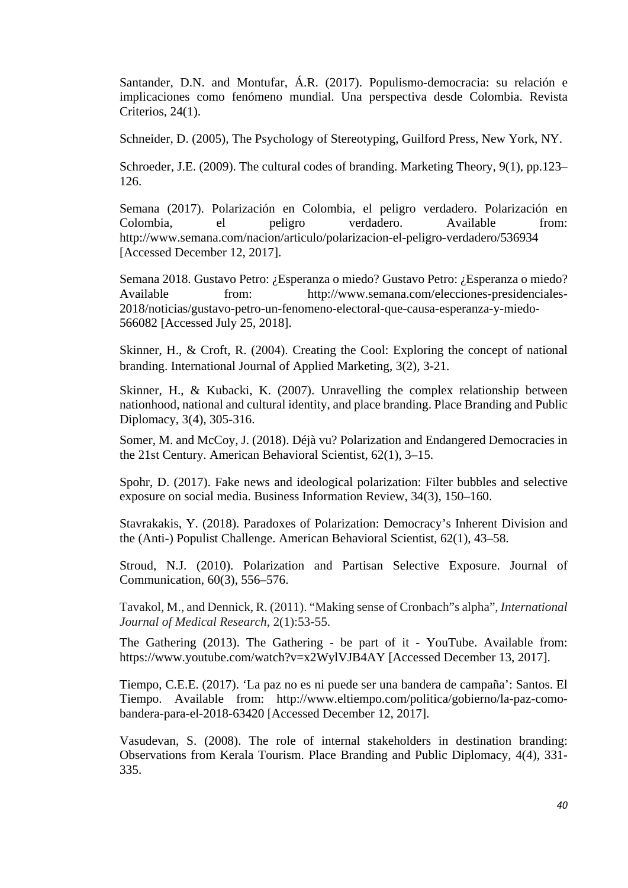Santander, D.N. and Montufar, Á.R. (2017). Populismo-democracia: su relación e implicaciones como fenómeno mundial. Una perspectiva desde Colombia. Revista Criterios, 24(1).

Schneider, D. (2005), The Psychology of Stereotyping, Guilford Press, New York, NY.

Schroeder, J.E. (2009). The cultural codes of branding. Marketing Theory, 9(1), pp.123– 126.

Semana (2017). Polarización en Colombia, el peligro verdadero. Polarización en Colombia, el peligro verdadero. Available from: http://www.semana.com/nacion/articulo/polarizacion-el-peligro-verdadero/536934 [Accessed December 12, 2017].

Semana 2018. Gustavo Petro: ¿Esperanza o miedo? Gustavo Petro: ¿Esperanza o miedo? Available from: http://www.semana.com/elecciones-presidenciales-2018/noticias/gustavo-petro-un-fenomeno-electoral-que-causa-esperanza-y-miedo-566082 [Accessed July 25, 2018].

Skinner, H., & Croft, R. (2004). Creating the Cool: Exploring the concept of national branding. International Journal of Applied Marketing, 3(2), 3-21.

Skinner, H., & Kubacki, K. (2007). Unravelling the complex relationship between nationhood, national and cultural identity, and place branding. Place Branding and Public Diplomacy, 3(4), 305-316.

Somer, M. and McCoy, J. (2018). Déjà vu? Polarization and Endangered Democracies in the 21st Century. American Behavioral Scientist, 62(1), 3–15.

Spohr, D. (2017). Fake news and ideological polarization: Filter bubbles and selective exposure on social media. Business Information Review, 34(3), 150–160.

Stavrakakis, Y. (2018). Paradoxes of Polarization: Democracy's Inherent Division and the (Anti-) Populist Challenge. American Behavioral Scientist, 62(1), 43–58.

Stroud, N.J. (2010). Polarization and Partisan Selective Exposure. Journal of Communication, 60(3), 556–576.

Tavakol, M., and Dennick, R. (2011). "Making sense of Cronbach"s alpha", *International Journal of Medical Research*, 2(1):53-55.

The Gathering (2013). The Gathering - be part of it - YouTube. Available from: https://www.youtube.com/watch?v=x2WylVJB4AY [Accessed December 13, 2017].

Tiempo, C.E.E. (2017). 'La paz no es ni puede ser una bandera de campaña': Santos. El Tiempo. Available from: http://www.eltiempo.com/politica/gobierno/la-paz-comobandera-para-el-2018-63420 [Accessed December 12, 2017].

Vasudevan, S. (2008). The role of internal stakeholders in destination branding: Observations from Kerala Tourism. Place Branding and Public Diplomacy, 4(4), 331- 335.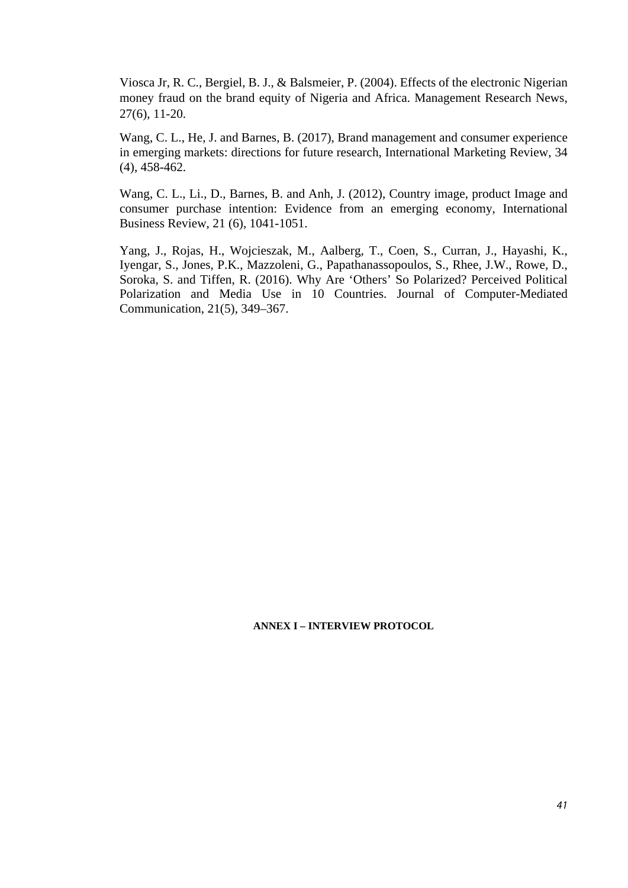Viosca Jr, R. C., Bergiel, B. J., & Balsmeier, P. (2004). Effects of the electronic Nigerian money fraud on the brand equity of Nigeria and Africa. Management Research News, 27(6), 11-20.

Wang, C. L., He, J. and Barnes, B. (2017), Brand management and consumer experience in emerging markets: directions for future research, International Marketing Review, 34 (4), 458-462.

Wang, C. L., Li., D., Barnes, B. and Anh, J. (2012), Country image, product Image and consumer purchase intention: Evidence from an emerging economy, International Business Review, 21 (6), 1041-1051.

Yang, J., Rojas, H., Wojcieszak, M., Aalberg, T., Coen, S., Curran, J., Hayashi, K., Iyengar, S., Jones, P.K., Mazzoleni, G., Papathanassopoulos, S., Rhee, J.W., Rowe, D., Soroka, S. and Tiffen, R. (2016). Why Are 'Others' So Polarized? Perceived Political Polarization and Media Use in 10 Countries. Journal of Computer-Mediated Communication, 21(5), 349–367.

#### **ANNEX I – INTERVIEW PROTOCOL**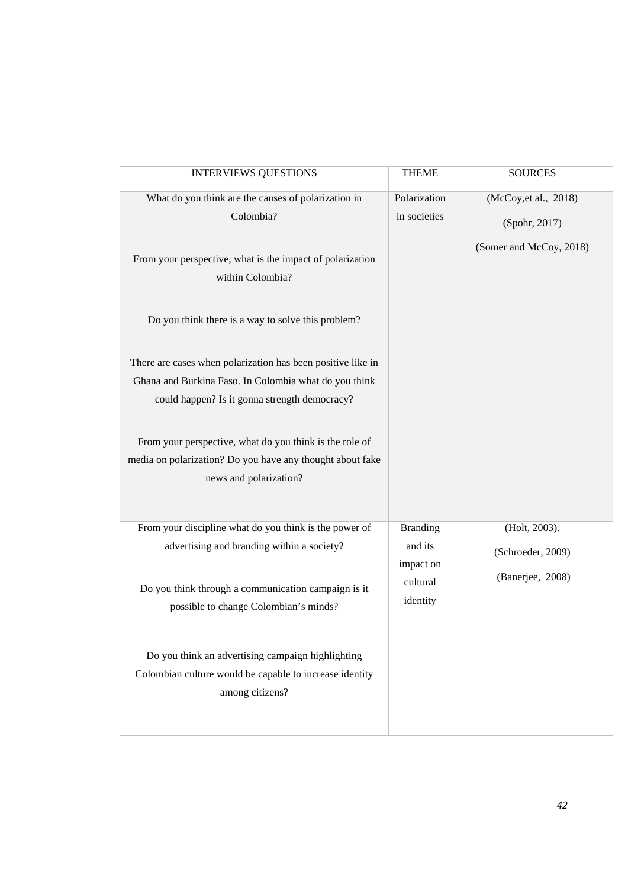| <b>INTERVIEWS QUESTIONS</b>                                                                                                                                                                                                                                                                                                                                                                                                                                                                                                        | <b>THEME</b>                                                    | <b>SOURCES</b>                                                    |
|------------------------------------------------------------------------------------------------------------------------------------------------------------------------------------------------------------------------------------------------------------------------------------------------------------------------------------------------------------------------------------------------------------------------------------------------------------------------------------------------------------------------------------|-----------------------------------------------------------------|-------------------------------------------------------------------|
| What do you think are the causes of polarization in<br>Colombia?<br>From your perspective, what is the impact of polarization<br>within Colombia?<br>Do you think there is a way to solve this problem?<br>There are cases when polarization has been positive like in<br>Ghana and Burkina Faso. In Colombia what do you think<br>could happen? Is it gonna strength democracy?<br>From your perspective, what do you think is the role of<br>media on polarization? Do you have any thought about fake<br>news and polarization? | Polarization<br>in societies                                    | (McCoy, et al., 2018)<br>(Spohr, 2017)<br>(Somer and McCoy, 2018) |
| From your discipline what do you think is the power of<br>advertising and branding within a society?<br>Do you think through a communication campaign is it<br>possible to change Colombian's minds?<br>Do you think an advertising campaign highlighting<br>Colombian culture would be capable to increase identity<br>among citizens?                                                                                                                                                                                            | <b>Branding</b><br>and its<br>impact on<br>cultural<br>identity | (Holt, 2003).<br>(Schroeder, 2009)<br>(Banerjee, 2008)            |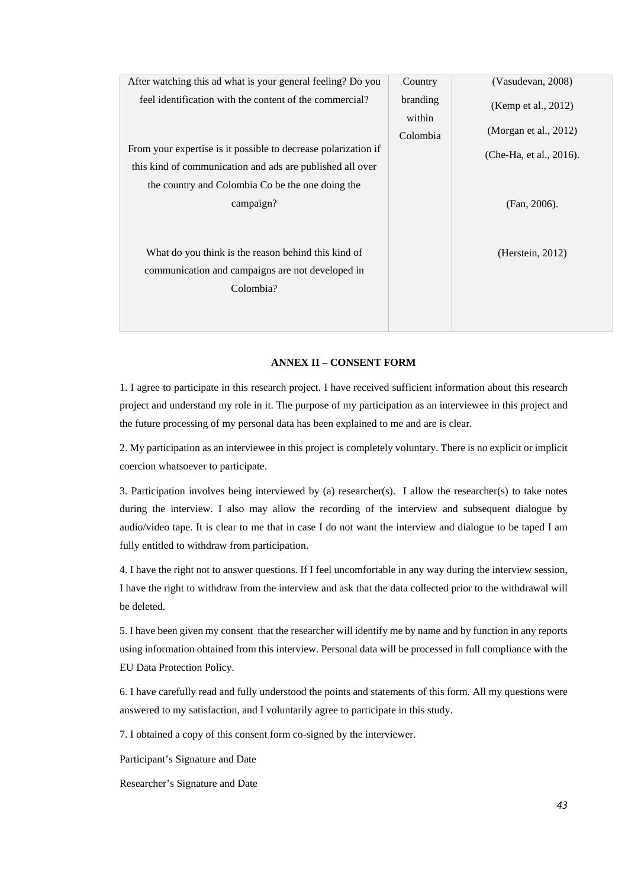| After watching this ad what is your general feeling? Do you    | Country  | (Vasudevan, 2008)       |
|----------------------------------------------------------------|----------|-------------------------|
| feel identification with the content of the commercial?        | branding | (Kemp et al., 2012)     |
|                                                                | within   |                         |
|                                                                | Colombia | (Morgan et al., 2012)   |
| From your expertise is it possible to decrease polarization if |          | (Che-Ha, et al., 2016). |
| this kind of communication and ads are published all over      |          |                         |
| the country and Colombia Co be the one doing the               |          |                         |
| campaign?                                                      |          | (Fan, 2006).            |
|                                                                |          |                         |
|                                                                |          |                         |
| What do you think is the reason behind this kind of            |          | (Herstein, 2012)        |
| communication and campaigns are not developed in               |          |                         |
| Colombia?                                                      |          |                         |
|                                                                |          |                         |
|                                                                |          |                         |

#### **ANNEX II – CONSENT FORM**

1. I agree to participate in this research project. I have received sufficient information about this research project and understand my role in it. The purpose of my participation as an interviewee in this project and the future processing of my personal data has been explained to me and are is clear.

2. My participation as an interviewee in this project is completely voluntary. There is no explicit or implicit coercion whatsoever to participate.

3. Participation involves being interviewed by (a) researcher(s). I allow the researcher(s) to take notes during the interview. I also may allow the recording of the interview and subsequent dialogue by audio/video tape. It is clear to me that in case I do not want the interview and dialogue to be taped I am fully entitled to withdraw from participation.

4. I have the right not to answer questions. If I feel uncomfortable in any way during the interview session, I have the right to withdraw from the interview and ask that the data collected prior to the withdrawal will be deleted.

5. I have been given my consent that the researcher will identify me by name and by function in any reports using information obtained from this interview. Personal data will be processed in full compliance with the EU Data Protection Policy.

6. I have carefully read and fully understood the points and statements of this form. All my questions were answered to my satisfaction, and I voluntarily agree to participate in this study.

7. I obtained a copy of this consent form co-signed by the interviewer.

Participant's Signature and Date

Researcher's Signature and Date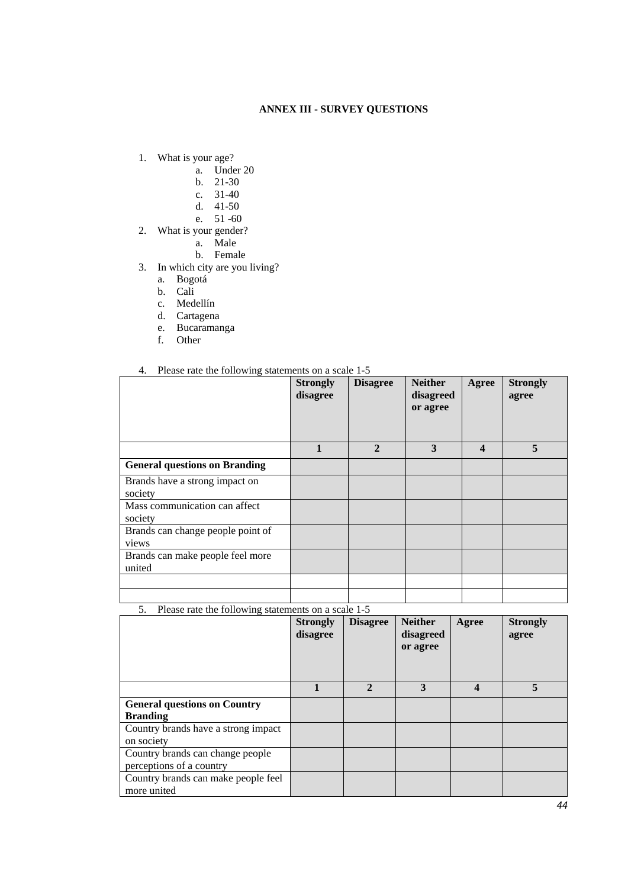#### **ANNEX III - SURVEY QUESTIONS**

- 1. What is your age?
	- a. Under 20
	- b. 21-30
	- c. 31-40
	- d. 41-50
	- e. 51 -60
- 2. What is your gender?
	- a. Male
	- b. Female
- 3. In which city are you living?
	- a. Bogotá
	- b. Cali
	- c. Medellín
	- d. Cartagena
	- e. Bucaramanga
	- f. Other

#### 4. Please rate the following statements on a scale 1-5

|                                            | <b>Strongly</b><br>disagree | <b>Disagree</b> | <b>Neither</b><br>disagreed<br>or agree | Agree                   | <b>Strongly</b><br>agree |
|--------------------------------------------|-----------------------------|-----------------|-----------------------------------------|-------------------------|--------------------------|
|                                            | 1                           | $\mathbf{2}$    | 3                                       | $\overline{\mathbf{4}}$ | 5                        |
| <b>General questions on Branding</b>       |                             |                 |                                         |                         |                          |
| Brands have a strong impact on<br>society  |                             |                 |                                         |                         |                          |
| Mass communication can affect<br>society   |                             |                 |                                         |                         |                          |
| Brands can change people point of<br>views |                             |                 |                                         |                         |                          |
| Brands can make people feel more<br>united |                             |                 |                                         |                         |                          |
|                                            |                             |                 |                                         |                         |                          |
|                                            |                             |                 |                                         |                         |                          |

5. Please rate the following statements on a scale 1-5

|                                     | <b>Strongly</b><br>disagree | <b>Disagree</b> | <b>Neither</b><br>disagreed<br>or agree | Agree | <b>Strongly</b><br>agree |
|-------------------------------------|-----------------------------|-----------------|-----------------------------------------|-------|--------------------------|
|                                     |                             | $\mathbf{2}$    | 3                                       | 4     | 5                        |
| <b>General questions on Country</b> |                             |                 |                                         |       |                          |
| <b>Branding</b>                     |                             |                 |                                         |       |                          |
| Country brands have a strong impact |                             |                 |                                         |       |                          |
| on society                          |                             |                 |                                         |       |                          |
| Country brands can change people    |                             |                 |                                         |       |                          |
| perceptions of a country            |                             |                 |                                         |       |                          |
| Country brands can make people feel |                             |                 |                                         |       |                          |
| more united                         |                             |                 |                                         |       |                          |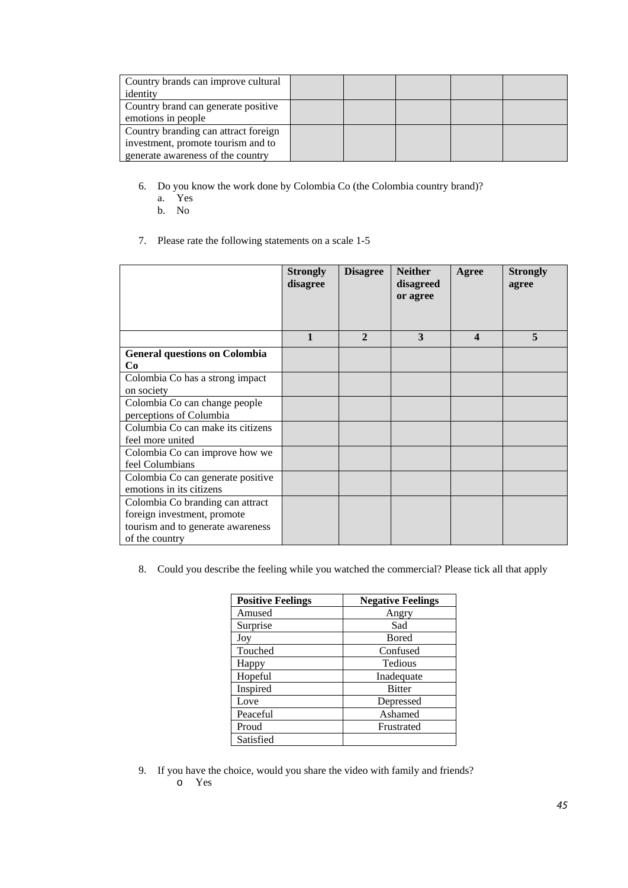| Country brands can improve cultural  |  |  |  |
|--------------------------------------|--|--|--|
| identity                             |  |  |  |
| Country brand can generate positive  |  |  |  |
| emotions in people                   |  |  |  |
| Country branding can attract foreign |  |  |  |
| investment, promote tourism and to   |  |  |  |
| generate awareness of the country    |  |  |  |

- 6. Do you know the work done by Colombia Co (the Colombia country brand)?
	- a. Yes
	- b. No
- 7. Please rate the following statements on a scale 1-5

|                                      | <b>Strongly</b><br>disagree | <b>Disagree</b> | <b>Neither</b><br>disagreed<br>or agree | Agree            | <b>Strongly</b><br>agree |
|--------------------------------------|-----------------------------|-----------------|-----------------------------------------|------------------|--------------------------|
|                                      | 1                           | $\mathbf{2}$    | 3                                       | $\boldsymbol{4}$ | 5                        |
| <b>General questions on Colombia</b> |                             |                 |                                         |                  |                          |
| Co                                   |                             |                 |                                         |                  |                          |
| Colombia Co has a strong impact      |                             |                 |                                         |                  |                          |
| on society                           |                             |                 |                                         |                  |                          |
| Colombia Co can change people        |                             |                 |                                         |                  |                          |
| perceptions of Columbia              |                             |                 |                                         |                  |                          |
| Columbia Co can make its citizens    |                             |                 |                                         |                  |                          |
| feel more united                     |                             |                 |                                         |                  |                          |
| Colombia Co can improve how we       |                             |                 |                                         |                  |                          |
| feel Columbians                      |                             |                 |                                         |                  |                          |
| Colombia Co can generate positive    |                             |                 |                                         |                  |                          |
| emotions in its citizens             |                             |                 |                                         |                  |                          |
| Colombia Co branding can attract     |                             |                 |                                         |                  |                          |
| foreign investment, promote          |                             |                 |                                         |                  |                          |
| tourism and to generate awareness    |                             |                 |                                         |                  |                          |
| of the country                       |                             |                 |                                         |                  |                          |

8. Could you describe the feeling while you watched the commercial? Please tick all that apply

| <b>Positive Feelings</b> | <b>Negative Feelings</b> |
|--------------------------|--------------------------|
| Amused                   | Angry                    |
| Surprise                 | Sad                      |
| Joy                      | <b>Bored</b>             |
| Touched                  | Confused                 |
| Happy                    | Tedious                  |
| Hopeful                  | Inadequate               |
| Inspired                 | <b>Bitter</b>            |
| Love                     | Depressed                |
| Peaceful                 | Ashamed                  |
| Proud                    | Frustrated               |
| Satisfied                |                          |

9. If you have the choice, would you share the video with family and friends? o Yes